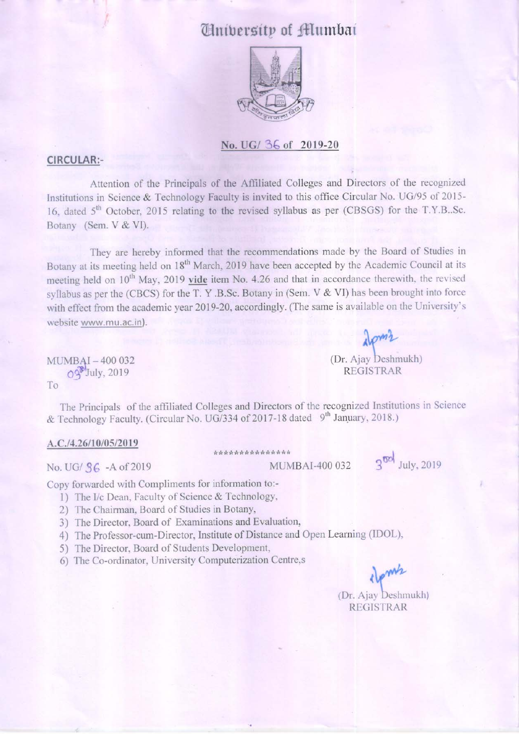# *University of Mumbai*



#### No. UG/ 36 of 2019-20

#### **CIRCULAR:-**

Attention of the Principals of the Affiliated Colleges and Directors of the recognized Institutions in Science & Technology Faculty is invited to this office Circular No. UG/95 of 2015-16. dated 5<sup>th</sup> October, 2015 relating to the revised syllabus as per (CBSGS) for the T.Y.B..Sc. Botany (Sem. V & VI).

They are hereby informed that the recommendations made by the Board of Studies in Botany at its meeting held on 18<sup>th</sup> March, 2019 have been accepted by the Academic Council at its meeting held on 10<sup>th</sup> May, 2019 vide item No. 4.26 and that in accordance therewith, the revised syllabus as per the (CBCS) for the T. Y.B.Sc. Botany in (Sem. V & VI) has been brought into force with effect from the academic year 2019-20, accordingly. (The same is available on the University's website www.mu.ac.in).

MUMBAI-400 032  $O<sup>3</sup>$ July, 2019 To

The Principals of the affiliated Colleges and Directors of the recognized Institutions in Science & Technology Faculty. (Circular No. UG/334 of 2017-18 dated 9<sup>th</sup> January, 2018.)

#### A.C./4.26/10/05/2019

No. UG/ S6 - A of 2019

\*\*\*\*\*\*\*\*\*\*\*\*\*\*\* MUMBAI-400 032

 $3^{00}$  July, 2019

Copy forwarded with Compliments for information to:-

- 1) The I/c Dean, Faculty of Science & Technology,
- 2) The Chairman, Board of Studies in Botany,
- 3) The Director, Board of Examinations and Evaluation,
- 4) The Professor-cum-Director, Institute of Distance and Open Learning (IDOL),
- 5) The Director, Board of Students Development,
- 6) The Co-ordinator, University Computerization Centre,s

pmh (Dr. Ajay Deshmukh) **REGISTRAR** 

 $\sim$ <sup>2</sup>

(Dr. Ajay Deshmukh)

**REGISTRAR**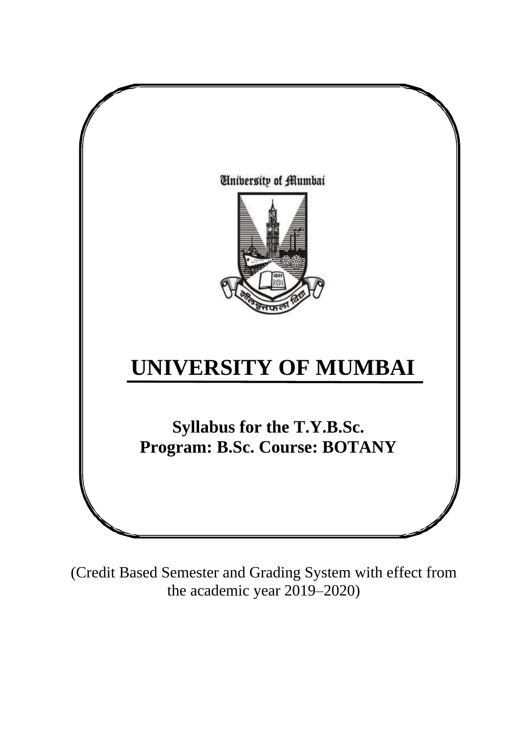

(Credit Based Semester and Grading System with effect from the academic year 2019–2020)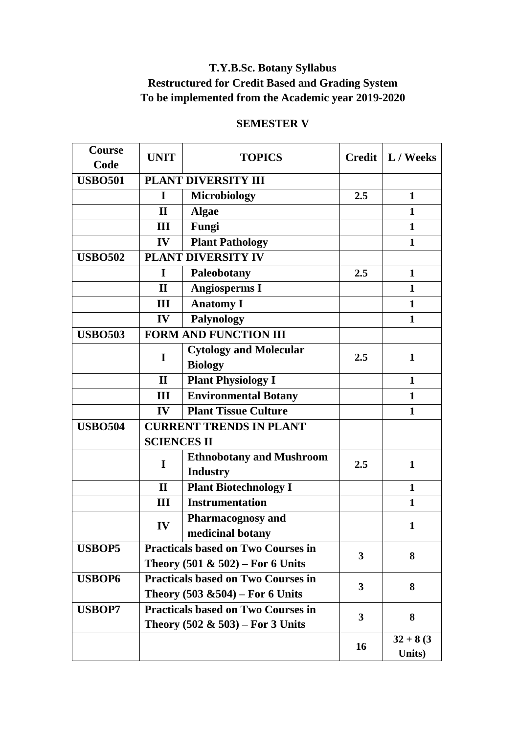## **T.Y.B.Sc. Botany Syllabus Restructured for Credit Based and Grading System To be implemented from the Academic year 2019-2020**

### **SEMESTER V**

| <b>Course</b><br>Code | <b>UNIT</b>                                                                      | <b>TOPICS</b>                                      |              | Credit   L / Weeks    |
|-----------------------|----------------------------------------------------------------------------------|----------------------------------------------------|--------------|-----------------------|
| <b>USBO501</b>        |                                                                                  | PLANT DIVERSITY III                                |              |                       |
|                       | I                                                                                | <b>Microbiology</b>                                | 2.5          | $\mathbf{1}$          |
|                       | $\mathbf{I}$                                                                     | <b>Algae</b>                                       |              | $\mathbf{1}$          |
|                       | III                                                                              | Fungi                                              |              | $\mathbf{1}$          |
|                       | IV                                                                               | <b>Plant Pathology</b>                             |              | $\mathbf{1}$          |
| <b>USBO502</b>        |                                                                                  | PLANT DIVERSITY IV                                 |              |                       |
|                       | I                                                                                | Paleobotany                                        | 2.5          | $\mathbf{1}$          |
|                       | $\mathbf{I}$                                                                     | <b>Angiosperms I</b>                               |              | $\mathbf{1}$          |
|                       | III                                                                              | <b>Anatomy I</b>                                   |              | $\mathbf{1}$          |
|                       | IV                                                                               | <b>Palynology</b>                                  |              | $\mathbf{1}$          |
| <b>USBO503</b>        |                                                                                  | <b>FORM AND FUNCTION III</b>                       |              |                       |
|                       | I                                                                                | <b>Cytology and Molecular</b><br><b>Biology</b>    | 2.5          | 1                     |
|                       | $\mathbf{I}$                                                                     | <b>Plant Physiology I</b>                          |              | $\mathbf{1}$          |
|                       | Ш                                                                                | <b>Environmental Botany</b>                        |              | $\mathbf{1}$          |
|                       | IV                                                                               | <b>Plant Tissue Culture</b>                        |              | 1                     |
| <b>USBO504</b>        |                                                                                  | <b>CURRENT TRENDS IN PLANT</b>                     |              |                       |
|                       | <b>SCIENCES II</b>                                                               |                                                    |              |                       |
|                       | I                                                                                | <b>Ethnobotany and Mushroom</b><br><b>Industry</b> | 2.5          | $\mathbf{1}$          |
|                       | $\mathbf{I}$                                                                     | <b>Plant Biotechnology I</b>                       |              | $\mathbf{1}$          |
|                       | Ш                                                                                | <b>Instrumentation</b>                             |              | $\mathbf{1}$          |
|                       | IV                                                                               | <b>Pharmacognosy and</b><br>medicinal botany       |              | $\mathbf{1}$          |
| <b>USBOP5</b>         |                                                                                  | <b>Practicals based on Two Courses in</b>          |              |                       |
|                       | Theory $(501 \& 502)$ – For 6 Units                                              |                                                    | 3            | 8                     |
| <b>USBOP6</b>         | <b>Practicals based on Two Courses in</b><br>Theory $(503 \& 504)$ – For 6 Units |                                                    | $\mathbf{3}$ | 8                     |
| <b>USBOP7</b>         | <b>Practicals based on Two Courses in</b><br>Theory $(502 \& 503)$ – For 3 Units |                                                    | $\mathbf{3}$ | 8                     |
|                       |                                                                                  |                                                    | 16           | $32 + 8(3)$<br>Units) |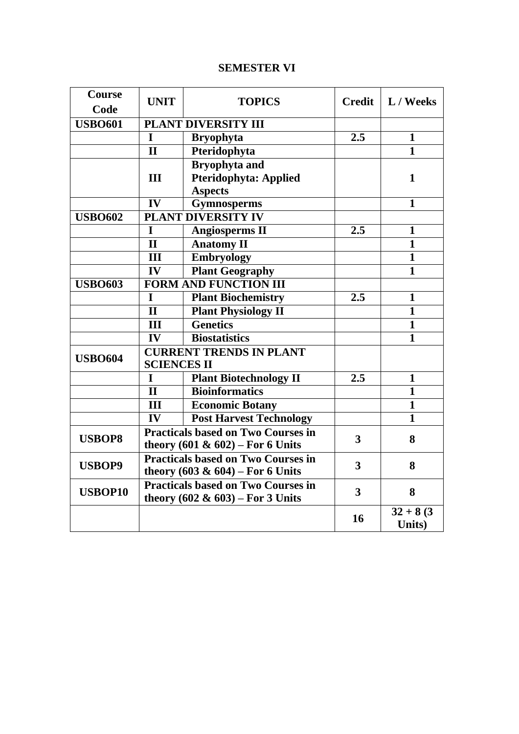### **SEMESTER VI**

| Course<br>Code | <b>UNIT</b>                    | <b>TOPICS</b>                             | <b>Credit</b>           | L / Weeks               |
|----------------|--------------------------------|-------------------------------------------|-------------------------|-------------------------|
|                |                                |                                           |                         |                         |
| <b>USBO601</b> |                                | PLANT DIVERSITY III                       |                         |                         |
|                | I                              | <b>Bryophyta</b>                          | 2.5                     | 1                       |
|                | $\mathbf{I}$                   | Pteridophyta                              |                         | $\mathbf{1}$            |
|                |                                | <b>Bryophyta and</b>                      |                         |                         |
|                | III                            | <b>Pteridophyta: Applied</b>              |                         | 1                       |
|                |                                | <b>Aspects</b>                            |                         |                         |
|                | $\overline{\mathbf{IV}}$       | <b>Gymnosperms</b>                        |                         | 1                       |
| <b>USBO602</b> |                                | <b>PLANT DIVERSITY IV</b>                 |                         |                         |
|                | I                              | <b>Angiosperms II</b>                     | 2.5                     | $\mathbf{1}$            |
|                | $\mathbf{I}$                   | <b>Anatomy II</b>                         |                         | $\mathbf{1}$            |
|                | $\overline{\mathbf{H}}$        | <b>Embryology</b>                         |                         | $\overline{\mathbf{1}}$ |
|                | IV                             | <b>Plant Geography</b>                    |                         | $\mathbf{1}$            |
| <b>USBO603</b> |                                | <b>FORM AND FUNCTION III</b>              |                         |                         |
|                | I                              | <b>Plant Biochemistry</b>                 | 2.5                     | 1                       |
|                | $\mathbf{I}$                   | <b>Plant Physiology II</b>                |                         | $\mathbf{1}$            |
|                | III                            | <b>Genetics</b>                           |                         | $\mathbf{1}$            |
|                | $\overline{\mathbf{IV}}$       | <b>Biostatistics</b>                      |                         | $\overline{\mathbf{1}}$ |
|                | <b>CURRENT TRENDS IN PLANT</b> |                                           |                         |                         |
| <b>USBO604</b> | <b>SCIENCES II</b>             |                                           |                         |                         |
|                | I                              | <b>Plant Biotechnology II</b>             | 2.5                     | $\mathbf{1}$            |
|                | $\mathbf{I}$                   | <b>Bioinformatics</b>                     |                         | $\mathbf{1}$            |
|                | III                            | <b>Economic Botany</b>                    |                         | 1                       |
|                | IV                             | <b>Post Harvest Technology</b>            |                         | $\mathbf{1}$            |
|                |                                | <b>Practicals based on Two Courses in</b> |                         |                         |
| <b>USBOP8</b>  |                                | theory $(601 \& 602)$ – For 6 Units       | 3                       | 8                       |
|                |                                | <b>Practicals based on Two Courses in</b> | 3                       |                         |
| <b>USBOP9</b>  |                                | theory $(603 \& 604) -$ For 6 Units       |                         | 8                       |
|                |                                | <b>Practicals based on Two Courses in</b> | $\overline{\mathbf{3}}$ | 8                       |
| <b>USBOP10</b> |                                | theory $(602 \& 603)$ – For 3 Units       |                         |                         |
|                |                                |                                           | 16                      | $32 + 8(3)$             |
|                |                                |                                           |                         | Units)                  |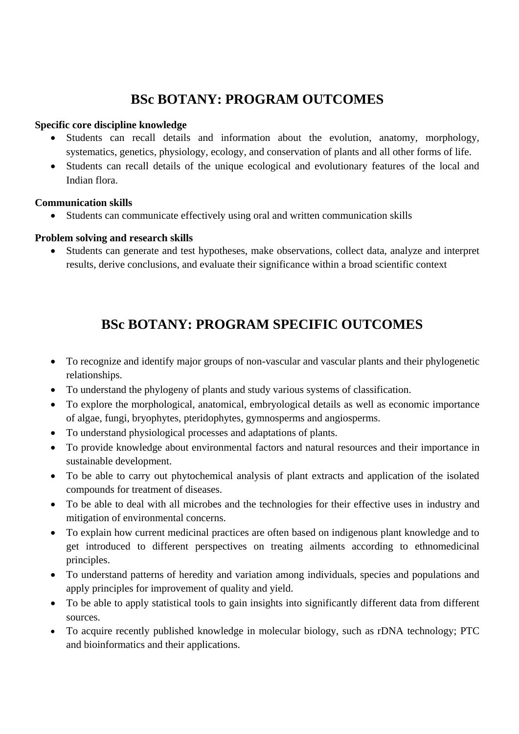# **BSc BOTANY: PROGRAM OUTCOMES**

### **Specific core discipline knowledge**

- Students can recall details and information about the evolution, anatomy, morphology, systematics, genetics, physiology, ecology, and conservation of plants and all other forms of life.
- Students can recall details of the unique ecological and evolutionary features of the local and Indian flora.

### **Communication skills**

Students can communicate effectively using oral and written communication skills

### **Problem solving and research skills**

 Students can generate and test hypotheses, make observations, collect data, analyze and interpret results, derive conclusions, and evaluate their significance within a broad scientific context

# **BSc BOTANY: PROGRAM SPECIFIC OUTCOMES**

- To recognize and identify major groups of non-vascular and vascular plants and their phylogenetic relationships.
- To understand the phylogeny of plants and study various systems of classification.
- To explore the morphological, anatomical, embryological details as well as economic importance of algae, fungi, bryophytes, pteridophytes, gymnosperms and angiosperms.
- To understand physiological processes and adaptations of plants.
- To provide knowledge about environmental factors and natural resources and their importance in sustainable development.
- To be able to carry out phytochemical analysis of plant extracts and application of the isolated compounds for treatment of diseases.
- To be able to deal with all microbes and the technologies for their effective uses in industry and mitigation of environmental concerns.
- To explain how current medicinal practices are often based on indigenous plant knowledge and to get introduced to different perspectives on treating ailments according to ethnomedicinal principles.
- To understand patterns of heredity and variation among individuals, species and populations and apply principles for improvement of quality and yield.
- To be able to apply statistical tools to gain insights into significantly different data from different sources.
- To acquire recently published knowledge in molecular biology, such as rDNA technology; PTC and bioinformatics and their applications.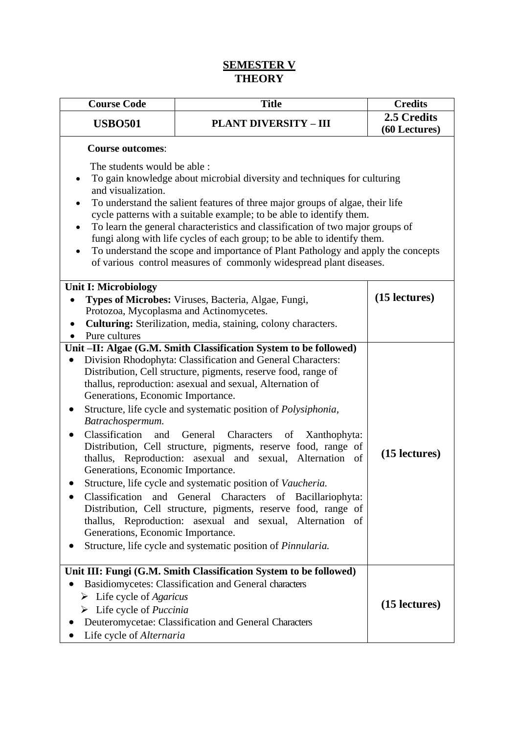### **SEMESTER V THEORY**

| <b>Course Code</b>                                                                                                                                       | <b>Title</b>                                                                                                                                                                                                                                                                                                                                                                                                                                                                                                                                                                                                                                                                                                                                                                                                                                   | <b>Credits</b>               |
|----------------------------------------------------------------------------------------------------------------------------------------------------------|------------------------------------------------------------------------------------------------------------------------------------------------------------------------------------------------------------------------------------------------------------------------------------------------------------------------------------------------------------------------------------------------------------------------------------------------------------------------------------------------------------------------------------------------------------------------------------------------------------------------------------------------------------------------------------------------------------------------------------------------------------------------------------------------------------------------------------------------|------------------------------|
| <b>USBO501</b>                                                                                                                                           | <b>PLANT DIVERSITY - III</b>                                                                                                                                                                                                                                                                                                                                                                                                                                                                                                                                                                                                                                                                                                                                                                                                                   | 2.5 Credits<br>(60 Lectures) |
| <b>Course outcomes:</b>                                                                                                                                  |                                                                                                                                                                                                                                                                                                                                                                                                                                                                                                                                                                                                                                                                                                                                                                                                                                                |                              |
| The students would be able :<br>٠<br>and visualization.<br>$\bullet$<br>$\bullet$<br>$\bullet$                                                           | To gain knowledge about microbial diversity and techniques for culturing<br>To understand the salient features of three major groups of algae, their life<br>cycle patterns with a suitable example; to be able to identify them.<br>To learn the general characteristics and classification of two major groups of<br>fungi along with life cycles of each group; to be able to identify them.<br>To understand the scope and importance of Plant Pathology and apply the concepts<br>of various control measures of commonly widespread plant diseases.                                                                                                                                                                                                                                                                                      |                              |
| <b>Unit I: Microbiology</b>                                                                                                                              | Types of Microbes: Viruses, Bacteria, Algae, Fungi,<br>Protozoa, Mycoplasma and Actinomycetes.                                                                                                                                                                                                                                                                                                                                                                                                                                                                                                                                                                                                                                                                                                                                                 | (15 lectures)                |
| ٠<br>Pure cultures                                                                                                                                       | Culturing: Sterilization, media, staining, colony characters.                                                                                                                                                                                                                                                                                                                                                                                                                                                                                                                                                                                                                                                                                                                                                                                  |                              |
| Generations, Economic Importance.<br>Batrachospermum.<br>Classification<br>and<br>Generations, Economic Importance.<br>Generations, Economic Importance. | Unit-II: Algae (G.M. Smith Classification System to be followed)<br>Division Rhodophyta: Classification and General Characters:<br>Distribution, Cell structure, pigments, reserve food, range of<br>thallus, reproduction: asexual and sexual, Alternation of<br>Structure, life cycle and systematic position of Polysiphonia,<br>General Characters<br>Xanthophyta:<br>of<br>Distribution, Cell structure, pigments, reserve food, range of<br>thallus, Reproduction: asexual and sexual, Alternation of<br>Structure, life cycle and systematic position of Vaucheria.<br>Classification and General Characters of Bacillariophyta:<br>Distribution, Cell structure, pigments, reserve food, range of<br>thallus, Reproduction: asexual and sexual, Alternation of<br>Structure, life cycle and systematic position of <i>Pinnularia</i> . | (15 lectures)                |
| $\triangleright$ Life cycle of Agaricus<br>$\triangleright$ Life cycle of <i>Puccinia</i><br>Life cycle of Alternaria                                    | Unit III: Fungi (G.M. Smith Classification System to be followed)<br>Basidiomycetes: Classification and General characters<br>Deuteromycetae: Classification and General Characters                                                                                                                                                                                                                                                                                                                                                                                                                                                                                                                                                                                                                                                            | (15 lectures)                |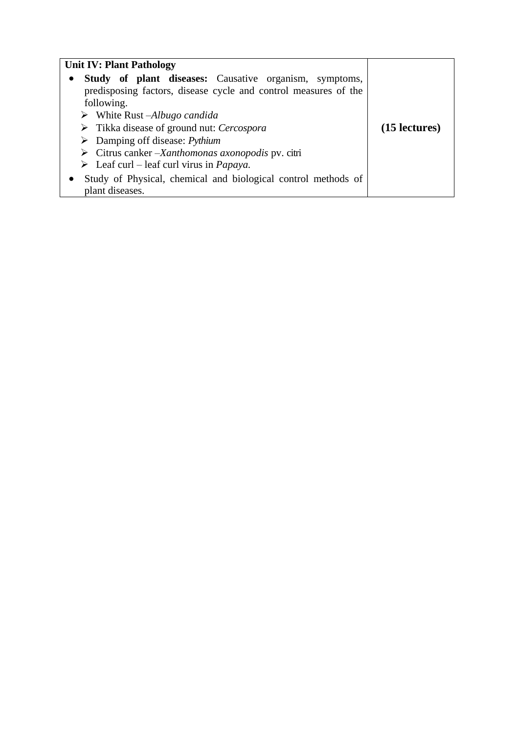| <b>Unit IV: Plant Pathology</b>                                          |               |
|--------------------------------------------------------------------------|---------------|
| <b>Study of plant diseases:</b> Causative organism, symptoms,            |               |
| predisposing factors, disease cycle and control measures of the          |               |
| following.                                                               |               |
| $\triangleright$ White Rust –Albugo candida                              |               |
| $\triangleright$ Tikka disease of ground nut: Cercospora                 | (15 lectures) |
| $\triangleright$ Damping off disease: <i>Pythium</i>                     |               |
| $\triangleright$ Citrus canker – <i>Xanthomonas axonopodis</i> pv. citri |               |
| $\triangleright$ Leaf curl – leaf curl virus in <i>Papaya</i> .          |               |
| Study of Physical, chemical and biological control methods of            |               |
| plant diseases.                                                          |               |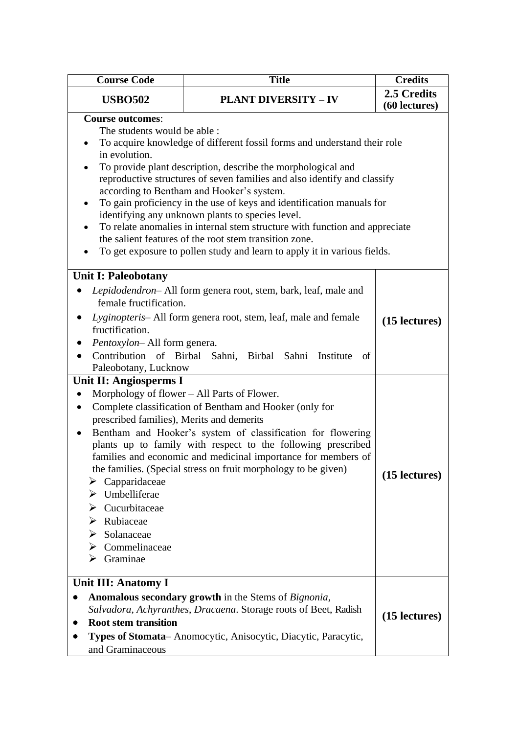| <b>Course Code</b>                                                                                                                                                                                                                                                                                                 | <b>Title</b>                                                                                                                                                                                                                                                                                                                                                                                                                                                                                                                                                                                                        | <b>Credits</b>               |
|--------------------------------------------------------------------------------------------------------------------------------------------------------------------------------------------------------------------------------------------------------------------------------------------------------------------|---------------------------------------------------------------------------------------------------------------------------------------------------------------------------------------------------------------------------------------------------------------------------------------------------------------------------------------------------------------------------------------------------------------------------------------------------------------------------------------------------------------------------------------------------------------------------------------------------------------------|------------------------------|
| <b>USBO502</b>                                                                                                                                                                                                                                                                                                     | <b>PLANT DIVERSITY - IV</b>                                                                                                                                                                                                                                                                                                                                                                                                                                                                                                                                                                                         | 2.5 Credits<br>(60 lectures) |
| <b>Course outcomes:</b><br>The students would be able :<br>in evolution.                                                                                                                                                                                                                                           | To acquire knowledge of different fossil forms and understand their role<br>To provide plant description, describe the morphological and<br>reproductive structures of seven families and also identify and classify<br>according to Bentham and Hooker's system.<br>To gain proficiency in the use of keys and identification manuals for<br>identifying any unknown plants to species level.<br>To relate anomalies in internal stem structure with function and appreciate<br>the salient features of the root stem transition zone.<br>To get exposure to pollen study and learn to apply it in various fields. |                              |
| <b>Unit I: Paleobotany</b>                                                                                                                                                                                                                                                                                         |                                                                                                                                                                                                                                                                                                                                                                                                                                                                                                                                                                                                                     |                              |
| female fructification.<br>fructification.<br>Pentoxylon-All form genera.<br>$\bullet$<br>Paleobotany, Lucknow                                                                                                                                                                                                      | Lepidodendron- All form genera root, stem, bark, leaf, male and<br>Lyginopteris- All form genera root, stem, leaf, male and female<br>Contribution of Birbal Sahni, Birbal Sahni Institute<br>of                                                                                                                                                                                                                                                                                                                                                                                                                    | (15 lectures)                |
| Unit II: Angiosperms I<br>$\bullet$<br>٠<br>prescribed families), Merits and demerits<br>$\bullet$<br>$\triangleright$ Capparidaceae<br>$\triangleright$ Umbelliferae<br>$\triangleright$ Cucurbitaceae<br>Rubiaceae<br>$\triangleright$ Solanaceae<br>$\triangleright$ Commelinaceae<br>$\triangleright$ Graminae | Morphology of flower – All Parts of Flower.<br>Complete classification of Bentham and Hooker (only for<br>Bentham and Hooker's system of classification for flowering<br>plants up to family with respect to the following prescribed<br>families and economic and medicinal importance for members of<br>the families. (Special stress on fruit morphology to be given)                                                                                                                                                                                                                                            | (15 lectures)                |
| Unit III: Anatomy I<br><b>Root stem transition</b><br>and Graminaceous                                                                                                                                                                                                                                             | Anomalous secondary growth in the Stems of Bignonia,<br>Salvadora, Achyranthes, Dracaena. Storage roots of Beet, Radish<br>Types of Stomata-Anomocytic, Anisocytic, Diacytic, Paracytic,                                                                                                                                                                                                                                                                                                                                                                                                                            | (15 lectures)                |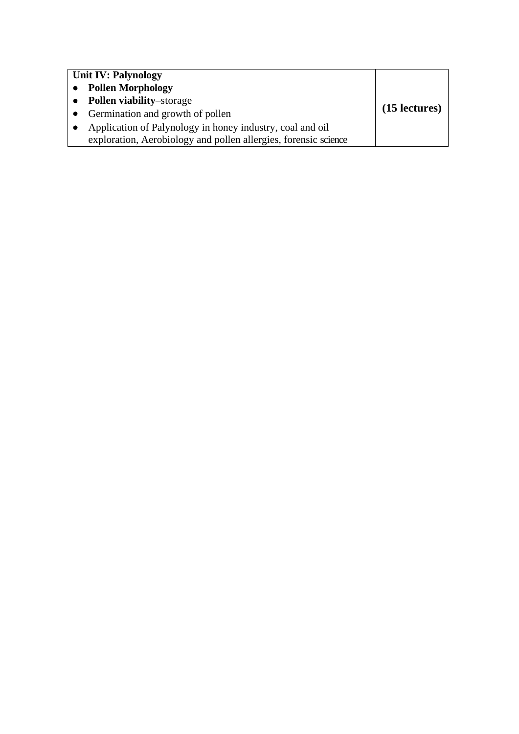| <b>Unit IV: Palynology</b>                                             |               |
|------------------------------------------------------------------------|---------------|
| <b>Pollen Morphology</b>                                               |               |
| <b>Pollen viability-storage</b><br>$\bullet$                           |               |
| Germination and growth of pollen<br>$\bullet$                          | (15 lectures) |
| Application of Palynology in honey industry, coal and oil<br>$\bullet$ |               |
| exploration, Aerobiology and pollen allergies, forensic science        |               |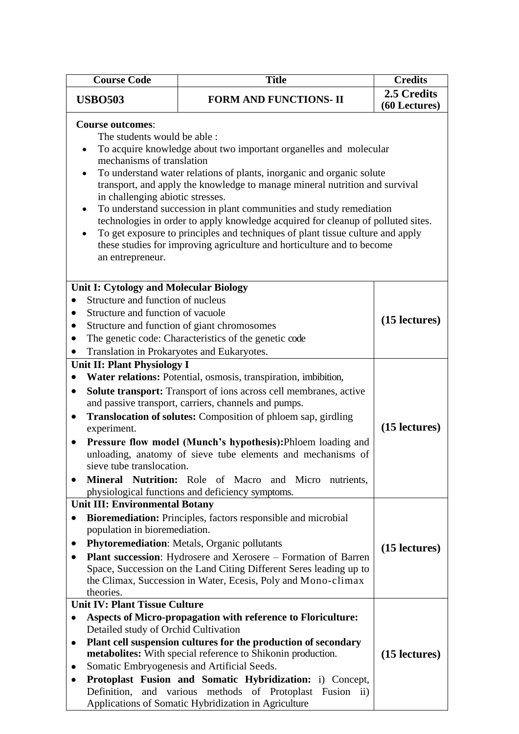| <b>Course Code</b>                                                                                                                                                                                                                                                                                                                                                                                                                                                                                                                                                                                                                                                                              | <b>Title</b>                                                                                                                                                                                                                                                                                                                                                                                                                                                                                                                                 | <b>Credits</b>                 |
|-------------------------------------------------------------------------------------------------------------------------------------------------------------------------------------------------------------------------------------------------------------------------------------------------------------------------------------------------------------------------------------------------------------------------------------------------------------------------------------------------------------------------------------------------------------------------------------------------------------------------------------------------------------------------------------------------|----------------------------------------------------------------------------------------------------------------------------------------------------------------------------------------------------------------------------------------------------------------------------------------------------------------------------------------------------------------------------------------------------------------------------------------------------------------------------------------------------------------------------------------------|--------------------------------|
| <b>USBO503</b>                                                                                                                                                                                                                                                                                                                                                                                                                                                                                                                                                                                                                                                                                  | <b>FORM AND FUNCTIONS- II</b>                                                                                                                                                                                                                                                                                                                                                                                                                                                                                                                | 2.5 Credits<br>(60 Lectures)   |
| <b>Course outcomes:</b><br>The students would be able:<br>To acquire knowledge about two important organelles and molecular<br>mechanisms of translation<br>To understand water relations of plants, inorganic and organic solute<br>transport, and apply the knowledge to manage mineral nutrition and survival<br>in challenging abiotic stresses.<br>To understand succession in plant communities and study remediation<br>technologies in order to apply knowledge acquired for cleanup of polluted sites.<br>To get exposure to principles and techniques of plant tissue culture and apply<br>these studies for improving agriculture and horticulture and to become<br>an entrepreneur. |                                                                                                                                                                                                                                                                                                                                                                                                                                                                                                                                              |                                |
| <b>Unit I: Cytology and Molecular Biology</b><br>Structure and function of nucleus<br>$\bullet$<br>Structure and function of vacuole<br>$\bullet$<br>$\bullet$<br>Translation in Prokaryotes and Eukaryotes.<br>$\bullet$                                                                                                                                                                                                                                                                                                                                                                                                                                                                       | Structure and function of giant chromosomes<br>The genetic code: Characteristics of the genetic code                                                                                                                                                                                                                                                                                                                                                                                                                                         | (15 lectures)                  |
| <b>Unit II: Plant Physiology I</b><br>$\bullet$<br>$\bullet$<br>$\bullet$<br>experiment.<br>$\bullet$<br>sieve tube translocation.                                                                                                                                                                                                                                                                                                                                                                                                                                                                                                                                                              | Water relations: Potential, osmosis, transpiration, imbibition,<br><b>Solute transport:</b> Transport of ions across cell membranes, active<br>and passive transport, carriers, channels and pumps.<br><b>Translocation of solutes:</b> Composition of phloem sap, girdling<br>Pressure flow model (Munch's hypothesis): Phloem loading and<br>unloading, anatomy of sieve tube elements and mechanisms of<br>Mineral Nutrition: Role of Macro and Micro nutrients,<br>physiological functions and deficiency symptoms.                      | (15 lectures)                  |
| <b>Unit III: Environmental Botany</b><br>population in bioremediation.<br>$\bullet$<br>theories.<br><b>Unit IV: Plant Tissue Culture</b><br>٠<br>Detailed study of Orchid Cultivation<br>٠                                                                                                                                                                                                                                                                                                                                                                                                                                                                                                      | Bioremediation: Principles, factors responsible and microbial<br><b>Phytoremediation:</b> Metals, Organic pollutants<br><b>Plant succession:</b> Hydrosere and Xerosere – Formation of Barren<br>Space, Succession on the Land Citing Different Seres leading up to<br>the Climax, Succession in Water, Ecesis, Poly and Mono-climax<br><b>Aspects of Micro-propagation with reference to Floriculture:</b><br>Plant cell suspension cultures for the production of secondary<br>metabolites: With special reference to Shikonin production. | (15 lectures)<br>(15 lectures) |
| ٠<br>٠                                                                                                                                                                                                                                                                                                                                                                                                                                                                                                                                                                                                                                                                                          | Somatic Embryogenesis and Artificial Seeds.<br>Protoplast Fusion and Somatic Hybridization: i) Concept,<br>Definition, and various methods of Protoplast Fusion ii)<br>Applications of Somatic Hybridization in Agriculture                                                                                                                                                                                                                                                                                                                  |                                |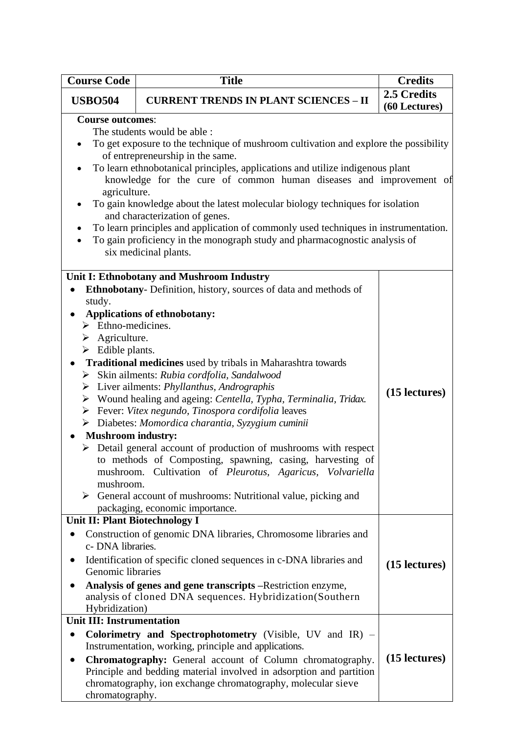| <b>Course Code</b>                                                                                                                                        | <b>Title</b>                                                                                                                                                                                                                                                                                                                                                                                                                                                                                                                                                                                                                                                                                                                                                                                                                                                                                                    | <b>Credits</b>               |
|-----------------------------------------------------------------------------------------------------------------------------------------------------------|-----------------------------------------------------------------------------------------------------------------------------------------------------------------------------------------------------------------------------------------------------------------------------------------------------------------------------------------------------------------------------------------------------------------------------------------------------------------------------------------------------------------------------------------------------------------------------------------------------------------------------------------------------------------------------------------------------------------------------------------------------------------------------------------------------------------------------------------------------------------------------------------------------------------|------------------------------|
| <b>USBO504</b>                                                                                                                                            | <b>CURRENT TRENDS IN PLANT SCIENCES - II</b>                                                                                                                                                                                                                                                                                                                                                                                                                                                                                                                                                                                                                                                                                                                                                                                                                                                                    | 2.5 Credits<br>(60 Lectures) |
| <b>Course outcomes:</b><br>agriculture.                                                                                                                   | The students would be able :<br>To get exposure to the technique of mushroom cultivation and explore the possibility<br>of entrepreneurship in the same.<br>To learn ethnobotanical principles, applications and utilize indigenous plant<br>knowledge for the cure of common human diseases and improvement of<br>To gain knowledge about the latest molecular biology techniques for isolation<br>and characterization of genes.<br>To learn principles and application of commonly used techniques in instrumentation.<br>To gain proficiency in the monograph study and pharmacognostic analysis of<br>six medicinal plants.                                                                                                                                                                                                                                                                                |                              |
| study.<br>$\triangleright$ Ethno-medicines.<br>$\triangleright$ Agriculture.<br>$\triangleright$ Edible plants.<br><b>Mushroom industry:</b><br>mushroom. | Unit I: Ethnobotany and Mushroom Industry<br>Ethnobotany- Definition, history, sources of data and methods of<br><b>Applications of ethnobotany:</b><br>Traditional medicines used by tribals in Maharashtra towards<br>$\triangleright$ Skin ailments: Rubia cordfolia, Sandalwood<br>$\triangleright$ Liver ailments: <i>Phyllanthus</i> , <i>Andrographis</i><br>$\triangleright$ Wound healing and ageing: Centella, Typha, Terminalia, Tridax.<br>$\triangleright$ Fever: Vitex negundo, Tinospora cordifolia leaves<br>> Diabetes: Momordica charantia, Syzygium cuminii<br>$\triangleright$ Detail general account of production of mushrooms with respect<br>to methods of Composting, spawning, casing, harvesting of<br>mushroom. Cultivation of Pleurotus, Agaricus, Volvariella<br>$\triangleright$ General account of mushrooms: Nutritional value, picking and<br>packaging, economic importance. | (15 lectures)                |
| Unit II: Plant Biotechnology I<br>c- DNA libraries.<br>Genomic libraries<br>Hybridization)                                                                | Construction of genomic DNA libraries, Chromosome libraries and<br>Identification of specific cloned sequences in c-DNA libraries and<br>Analysis of genes and gene transcripts – Restriction enzyme,<br>analysis of cloned DNA sequences. Hybridization(Southern                                                                                                                                                                                                                                                                                                                                                                                                                                                                                                                                                                                                                                               | (15 lectures)                |
| <b>Unit III: Instrumentation</b><br>$\bullet$<br>chromatography.                                                                                          | Colorimetry and Spectrophotometry (Visible, UV and IR) –<br>Instrumentation, working, principle and applications.<br>Chromatography: General account of Column chromatography.<br>Principle and bedding material involved in adsorption and partition<br>chromatography, ion exchange chromatography, molecular sieve                                                                                                                                                                                                                                                                                                                                                                                                                                                                                                                                                                                           | (15 lectures)                |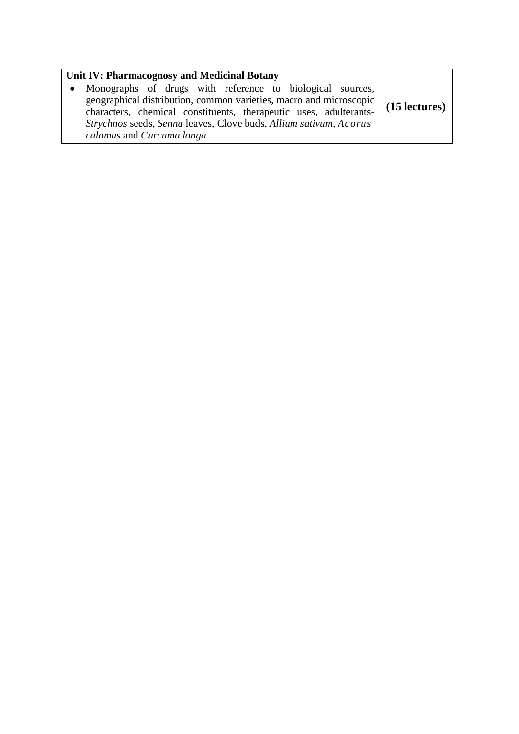| Unit IV: Pharmacognosy and Medicinal Botany                                                                                                                                                                                                                                                            |               |
|--------------------------------------------------------------------------------------------------------------------------------------------------------------------------------------------------------------------------------------------------------------------------------------------------------|---------------|
| Monographs of drugs with reference to biological sources,<br>geographical distribution, common varieties, macro and microscopic<br>characters, chemical constituents, therapeutic uses, adulterants-<br>Strychnos seeds, Senna leaves, Clove buds, Allium sativum, Acorus<br>calamus and Curcuma longa | (15 lectures) |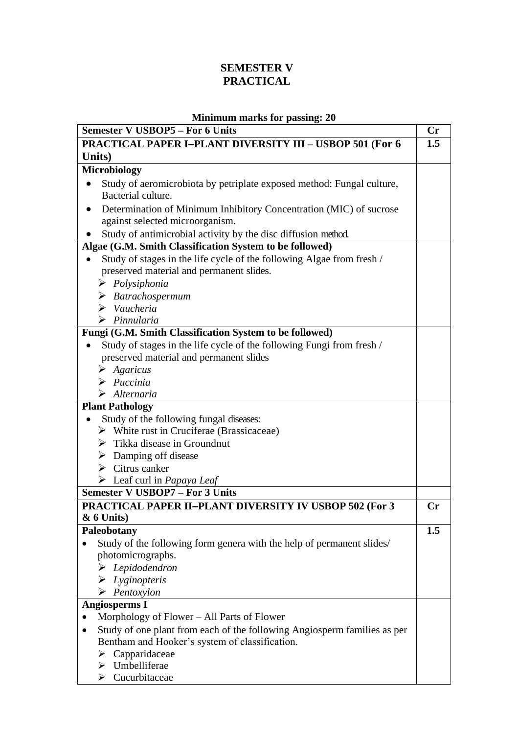### **SEMESTER V PRACTICAL**

### **Minimum marks for passing: 20**

| <b>Semester V USBOP5 - For 6 Units</b>                                             | Cr  |
|------------------------------------------------------------------------------------|-----|
| <b>PRACTICAL PAPER I-PLANT DIVERSITY III - USBOP 501 (For 6</b>                    | 1.5 |
| Units)                                                                             |     |
| <b>Microbiology</b>                                                                |     |
| Study of aeromicrobiota by petriplate exposed method: Fungal culture,<br>$\bullet$ |     |
| Bacterial culture.                                                                 |     |
| Determination of Minimum Inhibitory Concentration (MIC) of sucrose<br>$\bullet$    |     |
| against selected microorganism.                                                    |     |
| Study of antimicrobial activity by the disc diffusion method.                      |     |
| Algae (G.M. Smith Classification System to be followed)                            |     |
| Study of stages in the life cycle of the following Algae from fresh /              |     |
| preserved material and permanent slides.                                           |     |
| $\triangleright$ Polysiphonia                                                      |     |
| $\triangleright$ Batrachospermum                                                   |     |
| $\triangleright$ Vaucheria                                                         |     |
| $\triangleright$ Pinnularia                                                        |     |
| Fungi (G.M. Smith Classification System to be followed)                            |     |
| Study of stages in the life cycle of the following Fungi from fresh /              |     |
| preserved material and permanent slides                                            |     |
| $\triangleright$ Agaricus                                                          |     |
| $\triangleright$ Puccinia                                                          |     |
| $\triangleright$ Alternaria                                                        |     |
| <b>Plant Pathology</b>                                                             |     |
| Study of the following fungal diseases:                                            |     |
| $\triangleright$ White rust in Cruciferae (Brassicaceae)                           |     |
| $\triangleright$ Tikka disease in Groundnut                                        |     |
| $\triangleright$ Damping off disease                                               |     |
| $\triangleright$ Citrus canker                                                     |     |
| $\triangleright$ Leaf curl in <i>Papaya Leaf</i>                                   |     |
| <b>Semester V USBOP7 - For 3 Units</b>                                             |     |
| <b>PRACTICAL PAPER II-PLANT DIVERSITY IV USBOP 502 (For 3</b>                      | Cr  |
| $& 6$ Units)                                                                       |     |
| Paleobotany                                                                        | 1.5 |
| Study of the following form genera with the help of permanent slides/              |     |
| photomicrographs.                                                                  |     |
| $\blacktriangleright$ Lepidodendron                                                |     |
| $\triangleright$ Lyginopteris                                                      |     |
| $\triangleright$ Pentoxylon                                                        |     |
| <b>Angiosperms I</b>                                                               |     |
| Morphology of Flower – All Parts of Flower                                         |     |
| Study of one plant from each of the following Angiosperm families as per           |     |
| Bentham and Hooker's system of classification.                                     |     |
| Capparidaceae<br>➤                                                                 |     |
| $\triangleright$ Umbelliferae                                                      |     |
| $\triangleright$ Cucurbitaceae                                                     |     |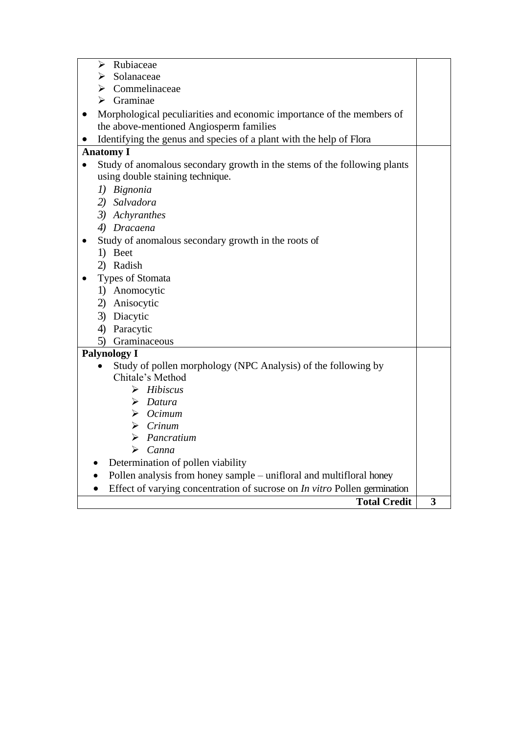| Rubiaceae<br>➤                                                            |   |
|---------------------------------------------------------------------------|---|
| Solanaceae                                                                |   |
| Commelinaceae<br>➤                                                        |   |
| Graminae<br>⋗                                                             |   |
| Morphological peculiarities and economic importance of the members of     |   |
| the above-mentioned Angiosperm families                                   |   |
| Identifying the genus and species of a plant with the help of Flora       |   |
| <b>Anatomy I</b>                                                          |   |
| Study of anomalous secondary growth in the stems of the following plants  |   |
| using double staining technique.                                          |   |
| 1) Bignonia                                                               |   |
| 2) Salvadora                                                              |   |
| 3) Achyranthes                                                            |   |
| 4) Dracaena                                                               |   |
| Study of anomalous secondary growth in the roots of                       |   |
| 1) Beet                                                                   |   |
| 2) Radish                                                                 |   |
| Types of Stomata                                                          |   |
| 1) Anomocytic                                                             |   |
| 2) Anisocytic                                                             |   |
| 3) Diacytic                                                               |   |
| 4) Paracytic                                                              |   |
| 5) Graminaceous                                                           |   |
| <b>Palynology I</b>                                                       |   |
| Study of pollen morphology (NPC Analysis) of the following by             |   |
| Chitale's Method                                                          |   |
| $\triangleright$ Hibiscus                                                 |   |
| $\triangleright$ Datura                                                   |   |
| $\triangleright$ Ocimum                                                   |   |
| $\triangleright$ Crinum                                                   |   |
| $\triangleright$ Pancratium                                               |   |
| $\triangleright$ Canna                                                    |   |
| Determination of pollen viability                                         |   |
| Pollen analysis from honey sample – unifloral and multifloral honey       |   |
| Effect of varying concentration of sucrose on In vitro Pollen germination |   |
| <b>Total Credit</b>                                                       | 3 |
|                                                                           |   |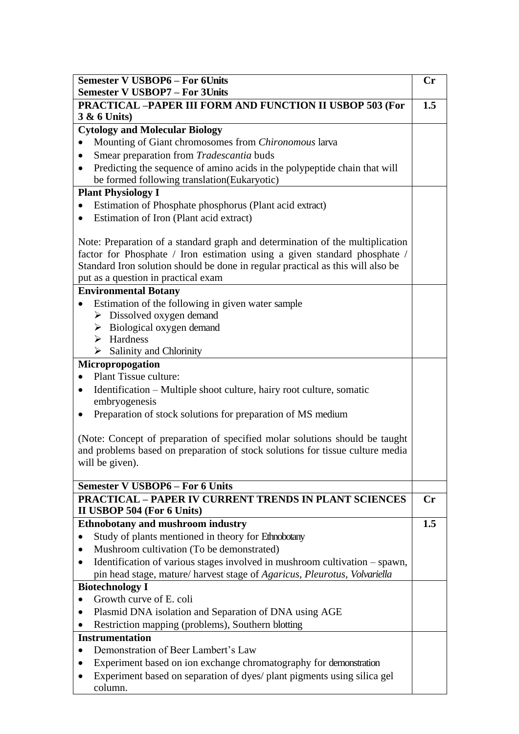| <b>Semester V USBOP6 - For 6Units</b><br><b>Semester V USBOP7 - For 3Units</b>         | Cr             |
|----------------------------------------------------------------------------------------|----------------|
|                                                                                        |                |
| PRACTICAL -PAPER III FORM AND FUNCTION II USBOP 503 (For<br><b>3 &amp; 6 Units)</b>    | 1.5            |
| <b>Cytology and Molecular Biology</b>                                                  |                |
| Mounting of Giant chromosomes from Chironomous larva                                   |                |
| Smear preparation from Tradescantia buds                                               |                |
| Predicting the sequence of amino acids in the polypeptide chain that will<br>$\bullet$ |                |
| be formed following translation(Eukaryotic)                                            |                |
| <b>Plant Physiology I</b>                                                              |                |
| Estimation of Phosphate phosphorus (Plant acid extract)                                |                |
| Estimation of Iron (Plant acid extract)<br>$\bullet$                                   |                |
|                                                                                        |                |
| Note: Preparation of a standard graph and determination of the multiplication          |                |
| factor for Phosphate / Iron estimation using a given standard phosphate /              |                |
| Standard Iron solution should be done in regular practical as this will also be        |                |
| put as a question in practical exam                                                    |                |
| <b>Environmental Botany</b>                                                            |                |
| Estimation of the following in given water sample                                      |                |
| $\triangleright$ Dissolved oxygen demand                                               |                |
| $\triangleright$ Biological oxygen demand                                              |                |
| $\triangleright$ Hardness                                                              |                |
| $\triangleright$ Salinity and Chlorinity                                               |                |
| Micropropogation                                                                       |                |
| Plant Tissue culture:                                                                  |                |
| Identification – Multiple shoot culture, hairy root culture, somatic<br>$\bullet$      |                |
| embryogenesis                                                                          |                |
| Preparation of stock solutions for preparation of MS medium                            |                |
|                                                                                        |                |
| (Note: Concept of preparation of specified molar solutions should be taught            |                |
| and problems based on preparation of stock solutions for tissue culture media          |                |
| will be given).                                                                        |                |
|                                                                                        |                |
| <b>Semester V USBOP6 - For 6 Units</b>                                                 |                |
| <b>PRACTICAL - PAPER IV CURRENT TRENDS IN PLANT SCIENCES</b>                           | $\mathbf{C}$ r |
| II USBOP 504 (For 6 Units)                                                             |                |
| <b>Ethnobotany and mushroom industry</b>                                               | 1.5            |
| Study of plants mentioned in theory for Ethnobotany                                    |                |
| Mushroom cultivation (To be demonstrated)                                              |                |
| Identification of various stages involved in mushroom cultivation – spawn,             |                |
| pin head stage, mature/ harvest stage of Agaricus, Pleurotus, Volvariella              |                |
| <b>Biotechnology I</b>                                                                 |                |
| Growth curve of E. coli                                                                |                |
| Plasmid DNA isolation and Separation of DNA using AGE                                  |                |
| Restriction mapping (problems), Southern blotting                                      |                |
| <b>Instrumentation</b>                                                                 |                |
| Demonstration of Beer Lambert's Law                                                    |                |
| Experiment based on ion exchange chromatography for demonstration                      |                |
| Experiment based on separation of dyes/ plant pigments using silica gel                |                |
| column.                                                                                |                |
|                                                                                        |                |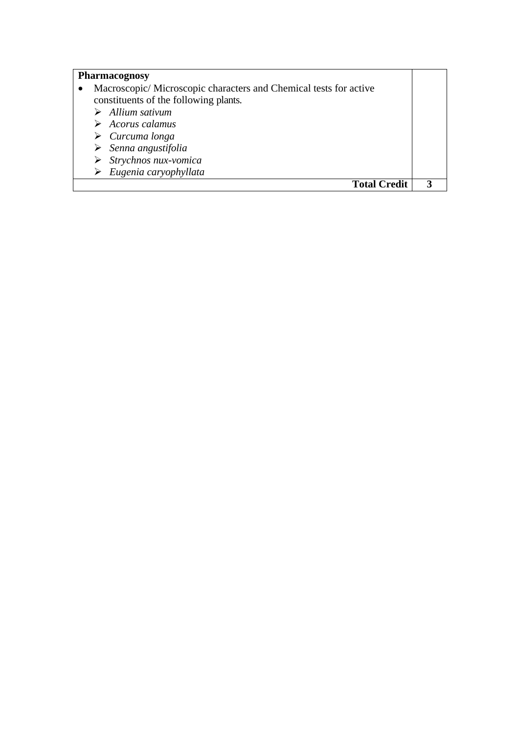| Pharmacognosy |  |
|---------------|--|
|---------------|--|

| Macroscopic/Microscopic characters and Chemical tests for active<br>constituents of the following plants. |  |
|-----------------------------------------------------------------------------------------------------------|--|
| $\triangleright$ Allium sativum                                                                           |  |
| $\triangleright$ Acorus calamus                                                                           |  |
| $\triangleright$ Curcuma longa                                                                            |  |
| $\triangleright$ Senna angustifolia                                                                       |  |
| $\triangleright$ Strychnos nux-vomica                                                                     |  |
| $\triangleright$ Eugenia caryophyllata                                                                    |  |
| <b>Total Credit</b>                                                                                       |  |

 $\mathcal{L}_{\mathcal{A}}$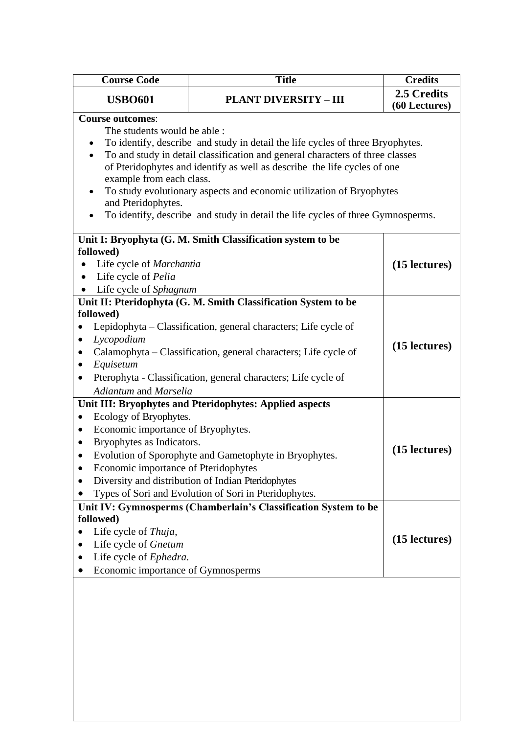| <b>Course Code</b>                              | <b>Title</b>                                                                                                                                                    | <b>Credits</b> |
|-------------------------------------------------|-----------------------------------------------------------------------------------------------------------------------------------------------------------------|----------------|
| <b>USBO601</b>                                  | <b>PLANT DIVERSITY - III</b>                                                                                                                                    | 2.5 Credits    |
|                                                 |                                                                                                                                                                 | (60 Lectures)  |
| <b>Course outcomes:</b>                         |                                                                                                                                                                 |                |
| The students would be able :                    |                                                                                                                                                                 |                |
|                                                 | To identify, describe and study in detail the life cycles of three Bryophytes.<br>To and study in detail classification and general characters of three classes |                |
|                                                 | of Pteridophytes and identify as well as describe the life cycles of one                                                                                        |                |
| example from each class.                        |                                                                                                                                                                 |                |
|                                                 | To study evolutionary aspects and economic utilization of Bryophytes                                                                                            |                |
| and Pteridophytes.                              |                                                                                                                                                                 |                |
|                                                 | To identify, describe and study in detail the life cycles of three Gymnosperms.                                                                                 |                |
|                                                 | Unit I: Bryophyta (G. M. Smith Classification system to be                                                                                                      |                |
| followed)                                       |                                                                                                                                                                 |                |
| Life cycle of Marchantia                        |                                                                                                                                                                 | (15 lectures)  |
| Life cycle of Pelia<br>$\bullet$                |                                                                                                                                                                 |                |
| Life cycle of Sphagnum                          |                                                                                                                                                                 |                |
|                                                 | Unit II: Pteridophyta (G. M. Smith Classification System to be                                                                                                  |                |
| followed)                                       |                                                                                                                                                                 |                |
|                                                 | Lepidophyta – Classification, general characters; Life cycle of                                                                                                 |                |
| Lycopodium<br>$\bullet$                         | Calamophyta - Classification, general characters; Life cycle of                                                                                                 | (15 lectures)  |
| ٠<br>Equisetum                                  |                                                                                                                                                                 |                |
|                                                 | Pterophyta - Classification, general characters; Life cycle of                                                                                                  |                |
| Adiantum and Marselia                           |                                                                                                                                                                 |                |
|                                                 | Unit III: Bryophytes and Pteridophytes: Applied aspects                                                                                                         |                |
| Ecology of Bryophytes.<br>٠                     |                                                                                                                                                                 |                |
| Economic importance of Bryophytes.<br>$\bullet$ |                                                                                                                                                                 |                |
| Bryophytes as Indicators.<br>$\bullet$          |                                                                                                                                                                 |                |
| ٠                                               | Evolution of Sporophyte and Gametophyte in Bryophytes.                                                                                                          | (15 lectures)  |
| Economic importance of Pteridophytes            |                                                                                                                                                                 |                |
|                                                 | Diversity and distribution of Indian Pteridophytes                                                                                                              |                |
|                                                 | Types of Sori and Evolution of Sori in Pteridophytes.                                                                                                           |                |
|                                                 | Unit IV: Gymnosperms (Chamberlain's Classification System to be                                                                                                 |                |
| followed)                                       |                                                                                                                                                                 |                |
| Life cycle of Thuja,                            |                                                                                                                                                                 | (15 lectures)  |
| Life cycle of Gnetum                            |                                                                                                                                                                 |                |
| Life cycle of Ephedra.                          |                                                                                                                                                                 |                |
| Economic importance of Gymnosperms              |                                                                                                                                                                 |                |
|                                                 |                                                                                                                                                                 |                |
|                                                 |                                                                                                                                                                 |                |
|                                                 |                                                                                                                                                                 |                |
|                                                 |                                                                                                                                                                 |                |
|                                                 |                                                                                                                                                                 |                |
|                                                 |                                                                                                                                                                 |                |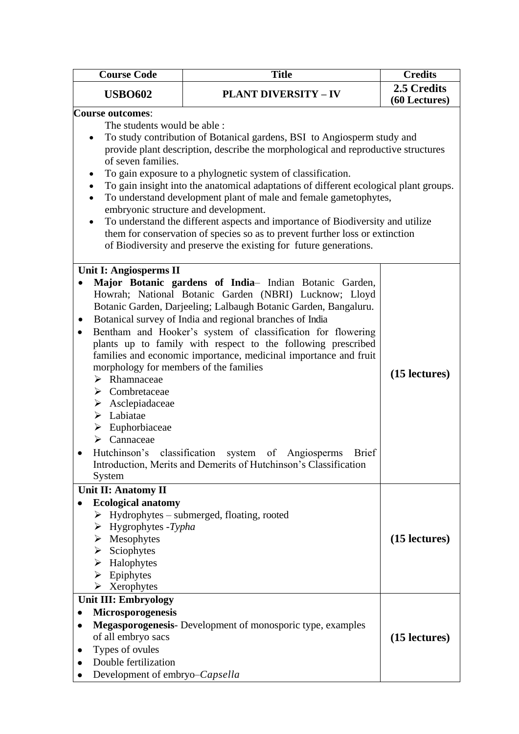| <b>Course Code</b>                                                                                                                                                                                                                                                                                                    | <b>Title</b><br><b>Credits</b>                                                                                                                                                                                                                                                                                                                                                                                                                                                                                                                                                                                                                                                                                                                                                             |               |
|-----------------------------------------------------------------------------------------------------------------------------------------------------------------------------------------------------------------------------------------------------------------------------------------------------------------------|--------------------------------------------------------------------------------------------------------------------------------------------------------------------------------------------------------------------------------------------------------------------------------------------------------------------------------------------------------------------------------------------------------------------------------------------------------------------------------------------------------------------------------------------------------------------------------------------------------------------------------------------------------------------------------------------------------------------------------------------------------------------------------------------|---------------|
| <b>USBO602</b><br><b>PLANT DIVERSITY - IV</b>                                                                                                                                                                                                                                                                         |                                                                                                                                                                                                                                                                                                                                                                                                                                                                                                                                                                                                                                                                                                                                                                                            | 2.5 Credits   |
| <b>Course outcomes:</b><br>The students would be able :<br>$\bullet$<br>of seven families.<br>٠<br>$\bullet$<br>$\bullet$<br>Unit I: Angiosperms II                                                                                                                                                                   | To study contribution of Botanical gardens, BSI to Angiosperm study and<br>provide plant description, describe the morphological and reproductive structures<br>To gain exposure to a phylognetic system of classification.<br>To gain insight into the anatomical adaptations of different ecological plant groups.<br>To understand development plant of male and female gametophytes,<br>embryonic structure and development.<br>To understand the different aspects and importance of Biodiversity and utilize<br>them for conservation of species so as to prevent further loss or extinction<br>of Biodiversity and preserve the existing for future generations.<br>Major Botanic gardens of India- Indian Botanic Garden,<br>Howrah; National Botanic Garden (NBRI) Lucknow; Lloyd | (60 Lectures) |
| $\bullet$<br>$\bullet$<br>morphology for members of the families<br>$\triangleright$ Rhamnaceae<br>$\triangleright$ Combretaceae<br>$\triangleright$ Asclepiadaceae<br>$\blacktriangleright$ Labiatae<br>$\triangleright$ Euphorbiaceae<br>$\triangleright$ Cannaceae<br>Hutchinson's classification system<br>System | Botanic Garden, Darjeeling; Lalbaugh Botanic Garden, Bangaluru.<br>Botanical survey of India and regional branches of India<br>Bentham and Hooker's system of classification for flowering<br>plants up to family with respect to the following prescribed<br>families and economic importance, medicinal importance and fruit<br>of Angiosperms<br><b>Brief</b><br>Introduction, Merits and Demerits of Hutchinson's Classification                                                                                                                                                                                                                                                                                                                                                       | (15 lectures) |
| Unit II: Anatomy II<br><b>Ecological anatomy</b><br>$\triangleright$ Hygrophytes -Typha<br>$\triangleright$ Mesophytes<br>$\triangleright$ Sciophytes<br>$\triangleright$ Halophytes<br>$\triangleright$ Epiphytes<br>$\triangleright$ Xerophytes                                                                     | $\triangleright$ Hydrophytes – submerged, floating, rooted                                                                                                                                                                                                                                                                                                                                                                                                                                                                                                                                                                                                                                                                                                                                 | (15 lectures) |
| <b>Unit III: Embryology</b><br>Microsporogenesis<br>of all embryo sacs<br>Types of ovules<br>Double fertilization<br>Development of embryo-Capsella                                                                                                                                                                   | Megasporogenesis- Development of monosporic type, examples                                                                                                                                                                                                                                                                                                                                                                                                                                                                                                                                                                                                                                                                                                                                 | (15 lectures) |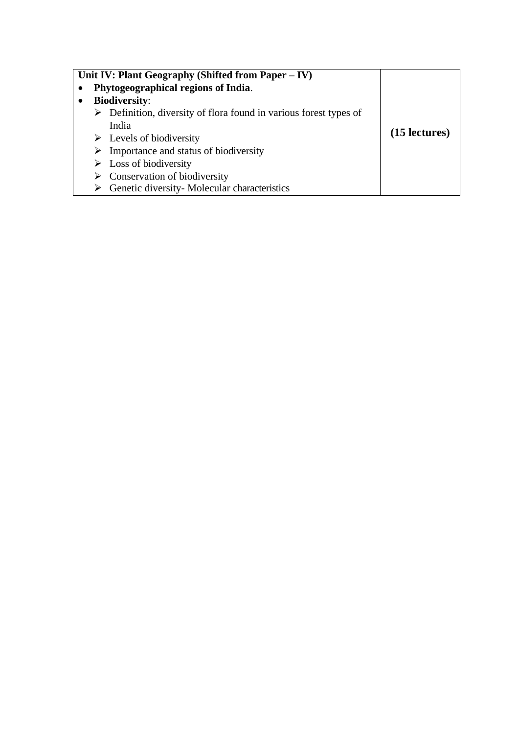| Unit IV: Plant Geography (Shifted from Paper – IV)                               |               |  |
|----------------------------------------------------------------------------------|---------------|--|
| Phytogeographical regions of India.                                              |               |  |
| <b>Biodiversity:</b>                                                             |               |  |
| $\triangleright$ Definition, diversity of flora found in various forest types of |               |  |
| India                                                                            |               |  |
| $\triangleright$ Levels of biodiversity                                          | (15 lectures) |  |
| $\triangleright$ Importance and status of biodiversity                           |               |  |
| $\triangleright$ Loss of biodiversity                                            |               |  |
| $\triangleright$ Conservation of biodiversity                                    |               |  |
| Genetic diversity-Molecular characteristics                                      |               |  |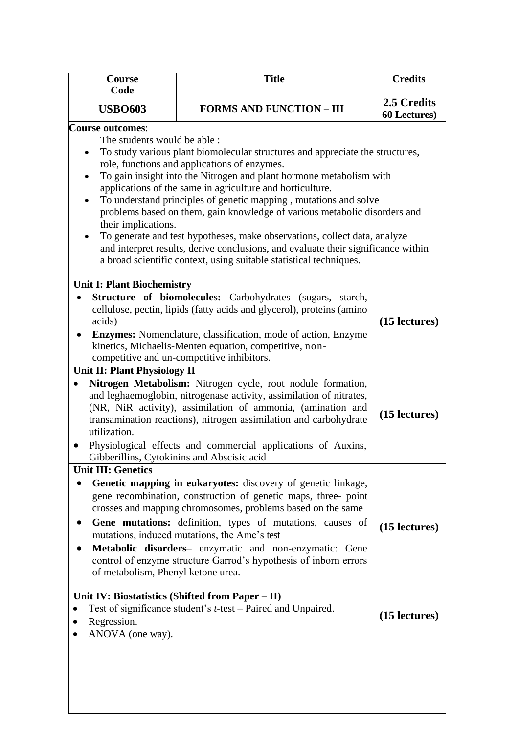| <b>Title</b>                                                                                                                                                                                                                                                                                                                                                                                                                                                                                                                                                                                                                                                                                                      | <b>Credits</b>                             |
|-------------------------------------------------------------------------------------------------------------------------------------------------------------------------------------------------------------------------------------------------------------------------------------------------------------------------------------------------------------------------------------------------------------------------------------------------------------------------------------------------------------------------------------------------------------------------------------------------------------------------------------------------------------------------------------------------------------------|--------------------------------------------|
| <b>FORMS AND FUNCTION - III</b>                                                                                                                                                                                                                                                                                                                                                                                                                                                                                                                                                                                                                                                                                   | 2.5 Credits<br><b>60 Lectures</b> )        |
| The students would be able :<br>To study various plant biomolecular structures and appreciate the structures,<br>role, functions and applications of enzymes.<br>To gain insight into the Nitrogen and plant hormone metabolism with<br>applications of the same in agriculture and horticulture.<br>To understand principles of genetic mapping, mutations and solve<br>problems based on them, gain knowledge of various metabolic disorders and<br>their implications.<br>To generate and test hypotheses, make observations, collect data, analyze<br>and interpret results, derive conclusions, and evaluate their significance within<br>a broad scientific context, using suitable statistical techniques. |                                            |
| <b>Unit I: Plant Biochemistry</b><br><b>Structure of biomolecules:</b> Carbohydrates (sugars,<br>starch,<br>cellulose, pectin, lipids (fatty acids and glycerol), proteins (amino<br><b>Enzymes:</b> Nomenclature, classification, mode of action, Enzyme<br>kinetics, Michaelis-Menten equation, competitive, non-<br>competitive and un-competitive inhibitors.                                                                                                                                                                                                                                                                                                                                                 | (15 lectures)                              |
| Unit II: Plant Physiology II<br>Nitrogen Metabolism: Nitrogen cycle, root nodule formation,<br>and leghaemoglobin, nitrogenase activity, assimilation of nitrates,<br>(NR, NiR activity), assimilation of ammonia, (amination and<br>transamination reactions), nitrogen assimilation and carbohydrate<br>Physiological effects and commercial applications of Auxins,                                                                                                                                                                                                                                                                                                                                            | (15 lectures)                              |
| Genetic mapping in eukaryotes: discovery of genetic linkage,<br>gene recombination, construction of genetic maps, three- point<br>crosses and mapping chromosomes, problems based on the same<br>Gene mutations: definition, types of mutations, causes of<br>mutations, induced mutations, the Ame's test<br>Metabolic disorders- enzymatic and non-enzymatic: Gene<br>control of enzyme structure Garrod's hypothesis of inborn errors<br>of metabolism, Phenyl ketone urea.                                                                                                                                                                                                                                    | (15 lectures)                              |
| Unit IV: Biostatistics (Shifted from Paper – II)<br>Test of significance student's <i>t</i> -test – Paired and Unpaired.<br>ANOVA (one way).                                                                                                                                                                                                                                                                                                                                                                                                                                                                                                                                                                      | (15 lectures)                              |
|                                                                                                                                                                                                                                                                                                                                                                                                                                                                                                                                                                                                                                                                                                                   | Gibberillins, Cytokinins and Abscisic acid |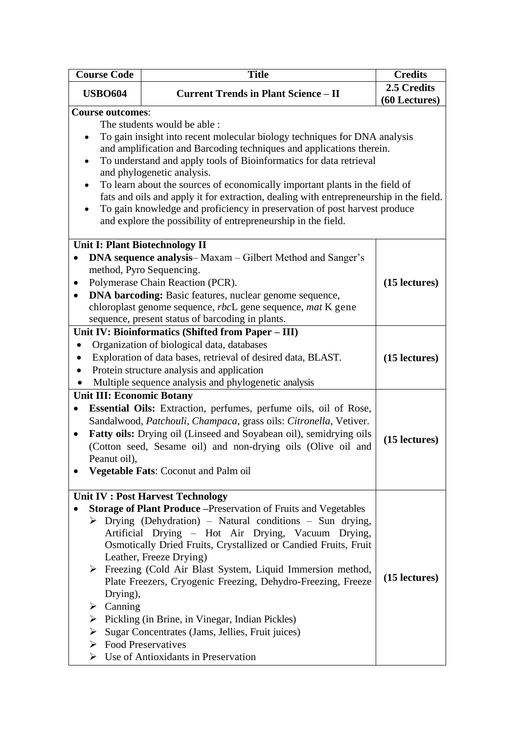| <b>Course Code</b>                       | <b>Title</b><br><b>Credits</b>                                                                                                                                        |               |  |
|------------------------------------------|-----------------------------------------------------------------------------------------------------------------------------------------------------------------------|---------------|--|
| <b>USBO604</b>                           | <b>Current Trends in Plant Science - II</b>                                                                                                                           |               |  |
| <b>Course outcomes:</b>                  |                                                                                                                                                                       |               |  |
|                                          | The students would be able :                                                                                                                                          |               |  |
|                                          | To gain insight into recent molecular biology techniques for DNA analysis                                                                                             |               |  |
|                                          | and amplification and Barcoding techniques and applications therein.                                                                                                  |               |  |
|                                          | To understand and apply tools of Bioinformatics for data retrieval                                                                                                    |               |  |
|                                          | and phylogenetic analysis.                                                                                                                                            |               |  |
| $\bullet$                                | To learn about the sources of economically important plants in the field of<br>fats and oils and apply it for extraction, dealing with entrepreneurship in the field. |               |  |
|                                          | To gain knowledge and proficiency in preservation of post harvest produce                                                                                             |               |  |
|                                          | and explore the possibility of entrepreneurship in the field.                                                                                                         |               |  |
|                                          |                                                                                                                                                                       |               |  |
|                                          | Unit I: Plant Biotechnology II                                                                                                                                        |               |  |
| $\bullet$                                | <b>DNA sequence analysis</b> – Maxam – Gilbert Method and Sanger's                                                                                                    |               |  |
|                                          | method, Pyro Sequencing.                                                                                                                                              |               |  |
| $\bullet$                                | Polymerase Chain Reaction (PCR).                                                                                                                                      | (15 lectures) |  |
| $\bullet$                                | <b>DNA barcoding:</b> Basic features, nuclear genome sequence,                                                                                                        |               |  |
|                                          | chloroplast genome sequence, <i>rbc</i> L gene sequence, <i>mat</i> K gene                                                                                            |               |  |
|                                          | sequence, present status of barcoding in plants.                                                                                                                      |               |  |
|                                          | Unit IV: Bioinformatics (Shifted from Paper - III)                                                                                                                    |               |  |
|                                          | Organization of biological data, databases                                                                                                                            |               |  |
|                                          | Exploration of data bases, retrieval of desired data, BLAST.                                                                                                          | (15 lectures) |  |
| $\bullet$                                | Protein structure analysis and application                                                                                                                            |               |  |
|                                          | Multiple sequence analysis and phylogenetic analysis                                                                                                                  |               |  |
| <b>Unit III: Economic Botany</b>         |                                                                                                                                                                       |               |  |
| $\bullet$                                | Essential Oils: Extraction, perfumes, perfume oils, oil of Rose,                                                                                                      |               |  |
|                                          | Sandalwood, Patchouli, Champaca, grass oils: Citronella, Vetiver.                                                                                                     |               |  |
| $\bullet$                                | Fatty oils: Drying oil (Linseed and Soyabean oil), semidrying oils                                                                                                    | (15 lectures) |  |
|                                          | (Cotton seed, Sesame oil) and non-drying oils (Olive oil and                                                                                                          |               |  |
| Peanut oil),                             |                                                                                                                                                                       |               |  |
|                                          | <b>Vegetable Fats: Coconut and Palm oil</b>                                                                                                                           |               |  |
|                                          | Unit IV : Post Harvest Technology                                                                                                                                     |               |  |
|                                          | <b>Storage of Plant Produce</b> – Preservation of Fruits and Vegetables                                                                                               |               |  |
|                                          | $\triangleright$ Drying (Dehydration) – Natural conditions – Sun drying,                                                                                              |               |  |
|                                          | Artificial Drying - Hot Air Drying, Vacuum Drying,                                                                                                                    |               |  |
|                                          | Osmotically Dried Fruits, Crystallized or Candied Fruits, Fruit                                                                                                       |               |  |
|                                          | Leather, Freeze Drying)                                                                                                                                               |               |  |
|                                          | $\triangleright$ Freezing (Cold Air Blast System, Liquid Immersion method,                                                                                            | (15 lectures) |  |
|                                          | Plate Freezers, Cryogenic Freezing, Dehydro-Freezing, Freeze                                                                                                          |               |  |
| $\triangleright$ Canning                 | Drying),                                                                                                                                                              |               |  |
|                                          |                                                                                                                                                                       |               |  |
|                                          | $\triangleright$ Pickling (in Brine, in Vinegar, Indian Pickles)                                                                                                      |               |  |
| ➤<br>$\triangleright$ Food Preservatives | Sugar Concentrates (Jams, Jellies, Fruit juices)                                                                                                                      |               |  |
|                                          | $\triangleright$ Use of Antioxidants in Preservation                                                                                                                  |               |  |
|                                          |                                                                                                                                                                       |               |  |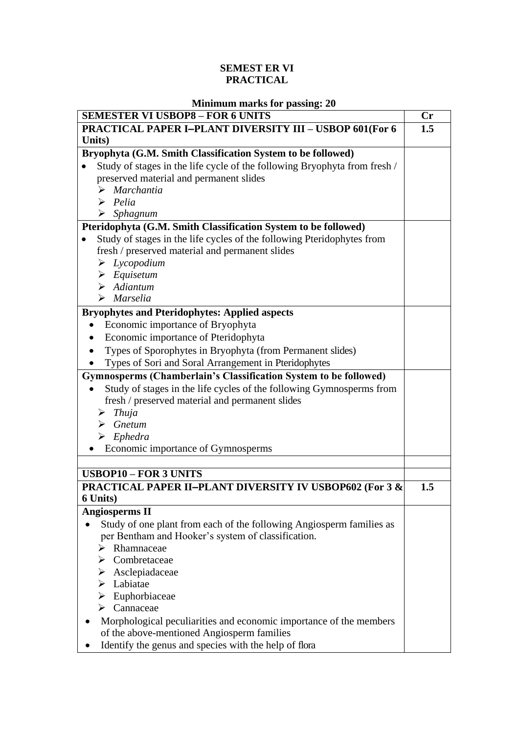### **SEMEST ER VI PRACTICAL**

| <b>Minimum marks for passing: 20</b> |  |  |
|--------------------------------------|--|--|
|                                      |  |  |

| <b>SEMESTER VI USBOP8 - FOR 6 UNITS</b>                                        | $\mathbf{C}\mathbf{r}$ |
|--------------------------------------------------------------------------------|------------------------|
| <b>PRACTICAL PAPER I-PLANT DIVERSITY III - USBOP 601(For 6</b>                 | 1.5                    |
| Units)                                                                         |                        |
| Bryophyta (G.M. Smith Classification System to be followed)                    |                        |
| Study of stages in the life cycle of the following Bryophyta from fresh /      |                        |
| preserved material and permanent slides                                        |                        |
| $\triangleright$ Marchantia                                                    |                        |
| $\triangleright$ Pelia                                                         |                        |
| $\triangleright$ Sphagnum                                                      |                        |
| Pteridophyta (G.M. Smith Classification System to be followed)                 |                        |
| Study of stages in the life cycles of the following Pteridophytes from         |                        |
| fresh / preserved material and permanent slides                                |                        |
| $\triangleright$ Lycopodium                                                    |                        |
| $\triangleright$ Equisetum                                                     |                        |
| $\triangleright$ Adiantum                                                      |                        |
| $\triangleright$ Marselia                                                      |                        |
| <b>Bryophytes and Pteridophytes: Applied aspects</b>                           |                        |
| Economic importance of Bryophyta                                               |                        |
| Economic importance of Pteridophyta                                            |                        |
| Types of Sporophytes in Bryophyta (from Permanent slides)                      |                        |
| Types of Sori and Soral Arrangement in Pteridophytes                           |                        |
| Gymnosperms (Chamberlain's Classification System to be followed)               |                        |
| Study of stages in the life cycles of the following Gymnosperms from           |                        |
| fresh / preserved material and permanent slides                                |                        |
| Thuja<br>➤                                                                     |                        |
| $\triangleright$ Gnetum                                                        |                        |
| $\triangleright$ Ephedra                                                       |                        |
| Economic importance of Gymnosperms                                             |                        |
|                                                                                |                        |
| <b>USBOP10 - FOR 3 UNITS</b>                                                   |                        |
| <b>PRACTICAL PAPER II-PLANT DIVERSITY IV USBOP602 (For 3 &amp;</b><br>6 Units) | 1.5                    |
| <b>Angiosperms II</b>                                                          |                        |
| Study of one plant from each of the following Angiosperm families as           |                        |
| per Bentham and Hooker's system of classification.                             |                        |
| Rhamnaceae                                                                     |                        |
| Combretaceae<br>➤                                                              |                        |
| $\triangleright$ Asclepiadaceae                                                |                        |
| $\blacktriangleright$ Labiatae                                                 |                        |
| $\triangleright$ Euphorbiaceae                                                 |                        |
| $\triangleright$ Cannaceae                                                     |                        |
| Morphological peculiarities and economic importance of the members             |                        |
| of the above-mentioned Angiosperm families                                     |                        |
| Identify the genus and species with the help of flora                          |                        |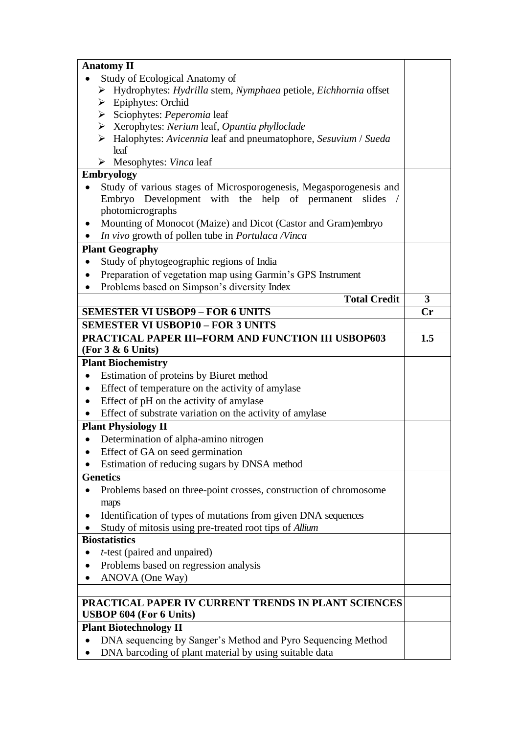|           | <b>Anatomy II</b>                                                                                                      |               |
|-----------|------------------------------------------------------------------------------------------------------------------------|---------------|
|           | Study of Ecological Anatomy of                                                                                         |               |
|           | > Hydrophytes: Hydrilla stem, Nymphaea petiole, Eichhornia offset                                                      |               |
|           | $\triangleright$ Epiphytes: Orchid                                                                                     |               |
|           | $\triangleright$ Sciophytes: <i>Peperomia</i> leaf                                                                     |               |
|           | ▶ Xerophytes: Nerium leaf, Opuntia phylloclade                                                                         |               |
|           | > Halophytes: Avicennia leaf and pneumatophore, Sesuvium / Sueda                                                       |               |
|           | leaf                                                                                                                   |               |
|           | $\triangleright$ Mesophytes: Vinca leaf                                                                                |               |
|           | <b>Embryology</b>                                                                                                      |               |
|           | Study of various stages of Microsporogenesis, Megasporogenesis and                                                     |               |
|           | Embryo Development with the help of permanent slides                                                                   |               |
|           | photomicrographs                                                                                                       |               |
| $\bullet$ | Mounting of Monocot (Maize) and Dicot (Castor and Gram)embryo                                                          |               |
|           | In vivo growth of pollen tube in Portulaca Ninca                                                                       |               |
|           | <b>Plant Geography</b>                                                                                                 |               |
| $\bullet$ | Study of phytogeographic regions of India                                                                              |               |
| $\bullet$ | Preparation of vegetation map using Garmin's GPS Instrument                                                            |               |
| $\bullet$ | Problems based on Simpson's diversity Index                                                                            |               |
|           | <b>Total Credit</b>                                                                                                    | 3             |
|           | <b>SEMESTER VI USBOP9 - FOR 6 UNITS</b>                                                                                | $\mathbf{Cr}$ |
|           | <b>SEMESTER VI USBOP10 - FOR 3 UNITS</b>                                                                               |               |
|           | PRACTICAL PAPER III-FORM AND FUNCTION III USBOP603                                                                     | 1.5           |
|           | (For $3 & 6$ Units)                                                                                                    |               |
|           | <b>Plant Biochemistry</b>                                                                                              |               |
| $\bullet$ | Estimation of proteins by Biuret method                                                                                |               |
|           | Effect of temperature on the activity of amylase                                                                       |               |
| $\bullet$ | Effect of pH on the activity of amylase                                                                                |               |
|           | Effect of substrate variation on the activity of amylase                                                               |               |
|           | <b>Plant Physiology II</b>                                                                                             |               |
| $\bullet$ | Determination of alpha-amino nitrogen                                                                                  |               |
|           | Effect of GA on seed germination                                                                                       |               |
|           | Estimation of reducing sugars by DNSA method                                                                           |               |
|           | <b>Genetics</b>                                                                                                        |               |
|           |                                                                                                                        |               |
|           | Problems based on three-point crosses, construction of chromosome                                                      |               |
|           | maps                                                                                                                   |               |
|           | Identification of types of mutations from given DNA sequences                                                          |               |
|           | Study of mitosis using pre-treated root tips of Allium<br><b>Biostatistics</b>                                         |               |
|           |                                                                                                                        |               |
| $\bullet$ | <i>t</i> -test (paired and unpaired)                                                                                   |               |
|           | Problems based on regression analysis                                                                                  |               |
|           | ANOVA (One Way)                                                                                                        |               |
|           |                                                                                                                        |               |
|           | PRACTICAL PAPER IV CURRENT TRENDS IN PLANT SCIENCES                                                                    |               |
|           | <b>USBOP 604 (For 6 Units)</b>                                                                                         |               |
|           | <b>Plant Biotechnology II</b>                                                                                          |               |
|           |                                                                                                                        |               |
|           | DNA sequencing by Sanger's Method and Pyro Sequencing Method<br>DNA barcoding of plant material by using suitable data |               |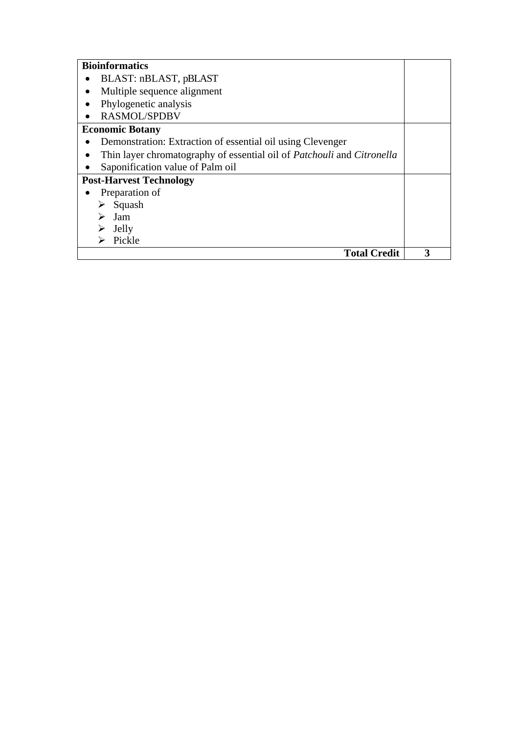| <b>Bioinformatics</b>                                                                |   |
|--------------------------------------------------------------------------------------|---|
| BLAST: nBLAST, pBLAST                                                                |   |
| Multiple sequence alignment                                                          |   |
| Phylogenetic analysis                                                                |   |
| <b>RASMOL/SPDBV</b>                                                                  |   |
| <b>Economic Botany</b>                                                               |   |
| Demonstration: Extraction of essential oil using Clevenger                           |   |
| Thin layer chromatography of essential oil of <i>Patchouli</i> and <i>Citronella</i> |   |
| Saponification value of Palm oil                                                     |   |
| <b>Post-Harvest Technology</b>                                                       |   |
| Preparation of                                                                       |   |
| Squash                                                                               |   |
| Jam                                                                                  |   |
| Jelly                                                                                |   |
| Pickle                                                                               |   |
| <b>Total Credit</b>                                                                  | 3 |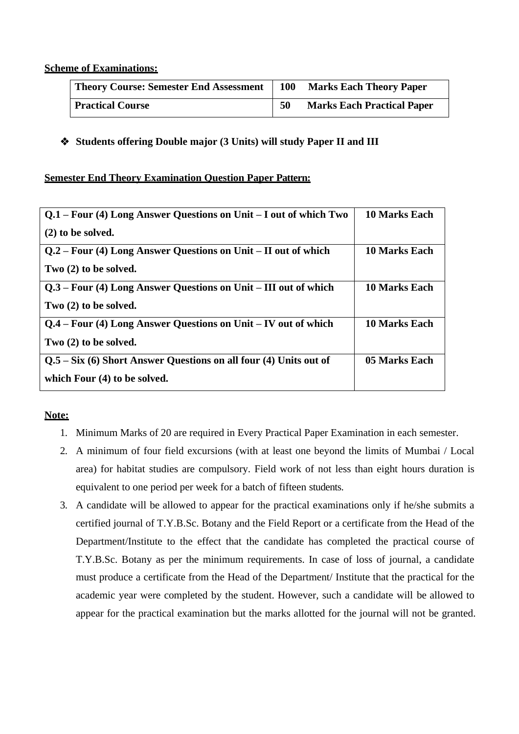#### **Scheme of Examinations:**

| <b>Theory Course: Semester End Assessment</b> | <b>100</b> | <b>Marks Each Theory Paper</b>    |
|-----------------------------------------------|------------|-----------------------------------|
| <b>Practical Course</b>                       | 50         | <b>Marks Each Practical Paper</b> |

**Students offering Double major (3 Units) will study Paper II and III**

#### **Semester End Theory Examination Question Paper Pattern:**

| $Q.1 - Four$ (4) Long Answer Questions on Unit $- I$ out of which Two | <b>10 Marks Each</b> |
|-----------------------------------------------------------------------|----------------------|
| $(2)$ to be solved.                                                   |                      |
| $Q.2$ – Four (4) Long Answer Questions on Unit – II out of which      | <b>10 Marks Each</b> |
| Two $(2)$ to be solved.                                               |                      |
| Q.3 – Four (4) Long Answer Questions on Unit – III out of which       | <b>10 Marks Each</b> |
| Two $(2)$ to be solved.                                               |                      |
| $Q.4 - Four$ (4) Long Answer Questions on Unit $- IV$ out of which    | <b>10 Marks Each</b> |
| Two $(2)$ to be solved.                                               |                      |
| $Q.5 - Six$ (6) Short Answer Questions on all four (4) Units out of   | 05 Marks Each        |
| which Four (4) to be solved.                                          |                      |

### **Note:**

- 1. Minimum Marks of 20 are required in Every Practical Paper Examination in each semester.
- 2. A minimum of four field excursions (with at least one beyond the limits of Mumbai / Local area) for habitat studies are compulsory. Field work of not less than eight hours duration is equivalent to one period per week for a batch of fifteen students.
- 3. A candidate will be allowed to appear for the practical examinations only if he/she submits a certified journal of T.Y.B.Sc. Botany and the Field Report or a certificate from the Head of the Department/Institute to the effect that the candidate has completed the practical course of T.Y.B.Sc. Botany as per the minimum requirements. In case of loss of journal, a candidate must produce a certificate from the Head of the Department/ Institute that the practical for the academic year were completed by the student. However, such a candidate will be allowed to appear for the practical examination but the marks allotted for the journal will not be granted.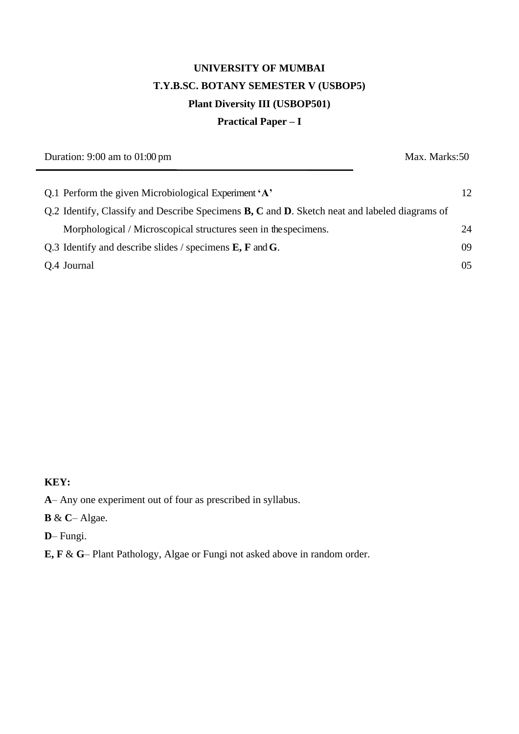# **UNIVERSITY OF MUMBAI T.Y.B.SC. BOTANY SEMESTER V (USBOP5) Plant Diversity III (USBOP501) Practical Paper – I**

Duration: 9:00 am to 01:00 pm Max. Marks: 50 Q.1 Perform the given Microbiological Experiment**'A'** 12 Q.2 Identify, Classify and Describe Specimens **B, C** and **D**. Sketch neat and labeled diagrams of Morphological / Microscopical structures seen in thespecimens. 24 Q.3 Identify and describe slides / specimens **E, F** and**G**. 09

Q.4 Journal 05

**KEY:**

**A**– Any one experiment out of four as prescribed in syllabus.

**B** & **C**– Algae.

**D**– Fungi.

**E, F** & **G**– Plant Pathology, Algae or Fungi not asked above in random order.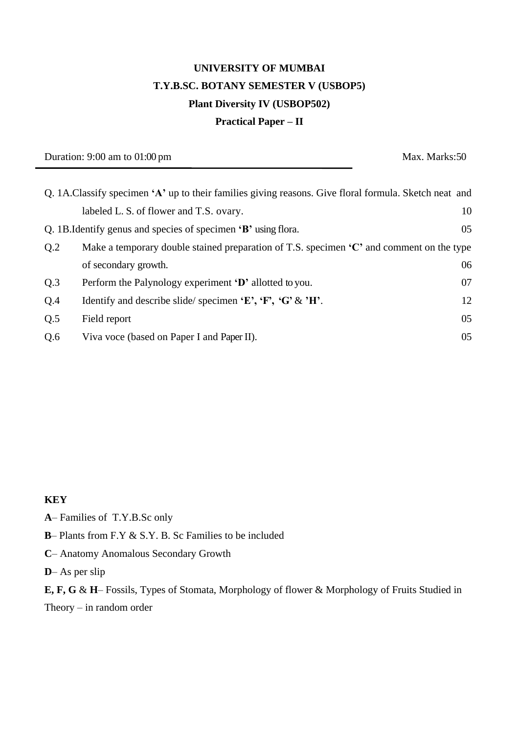# **UNIVERSITY OF MUMBAI T.Y.B.SC. BOTANY SEMESTER V (USBOP5) Plant Diversity IV (USBOP502) Practical Paper – II**

Duration: 9:00 am to 01:00 pm Max. Marks: 50

|     | Q. 1A.Classify specimen 'A' up to their families giving reasons. Give floral formula. Sketch neat and |    |
|-----|-------------------------------------------------------------------------------------------------------|----|
|     | labeled L. S. of flower and T.S. ovary.                                                               | 10 |
|     | Q. 1B. Identify genus and species of specimen 'B' using flora.                                        | 05 |
| Q.2 | Make a temporary double stained preparation of T.S. specimen 'C' and comment on the type              |    |
|     | of secondary growth.                                                                                  | 06 |
| Q.3 | Perform the Palynology experiment 'D' allotted to you.                                                | 07 |
| Q.4 | Identify and describe slide/specimen $E$ , $F$ , $G$ & $H$ .                                          | 12 |
| Q.5 | Field report                                                                                          | 05 |
| Q.6 | Viva voce (based on Paper I and Paper II).                                                            | 05 |

### **KEY**

- **A** Families of T.Y.B.Sc only
- **B** Plants from F.Y & S.Y. B. Sc Families to be included
- **C** Anatomy Anomalous Secondary Growth
- **D** As per slip

**E, F, G** & **H**– Fossils, Types of Stomata, Morphology of flower & Morphology of Fruits Studied in

Theory – in random order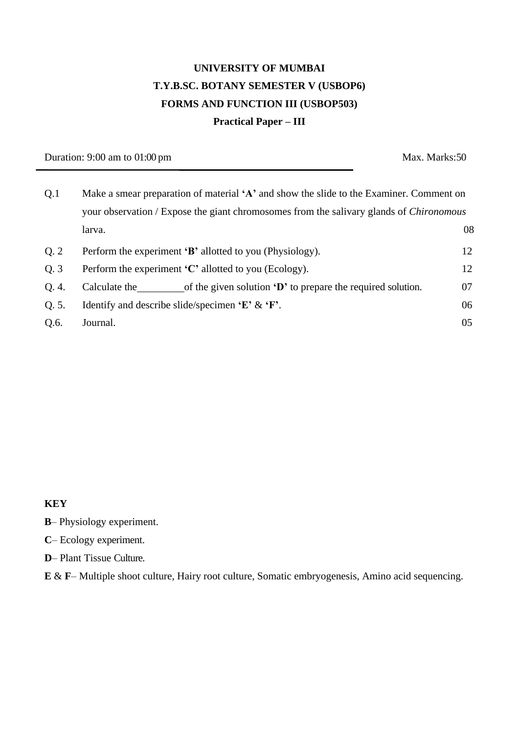# **UNIVERSITY OF MUMBAI T.Y.B.SC. BOTANY SEMESTER V (USBOP6) FORMS AND FUNCTION III (USBOP503) Practical Paper – III**

Duration: 9:00 am to 01:00 pm Max. Marks: 50

| Q.1   | Make a smear preparation of material 'A' and show the slide to the Examiner. Comment on        |     |
|-------|------------------------------------------------------------------------------------------------|-----|
|       | your observation / Expose the giant chromosomes from the salivary glands of <i>Chironomous</i> |     |
|       | larva.                                                                                         | 08  |
| Q.2   | Perform the experiment 'B' allotted to you (Physiology).                                       | 12  |
| Q.3   | Perform the experiment $\mathcal{C}'$ allotted to you (Ecology).                               | 12  |
| Q. 4. | Calculate the<br>of the given solution $\mathbf{D}'$ to prepare the required solution.         | 07  |
| Q. 5. | Identify and describe slide/specimen $E' \& F'.$                                               | 06  |
| Q.6.  | Journal.                                                                                       | 0.5 |

### **KEY**

**B**– Physiology experiment.

**C**– Ecology experiment.

**D**– Plant Tissue Culture.

**E** & **F**– Multiple shoot culture, Hairy root culture, Somatic embryogenesis, Amino acid sequencing.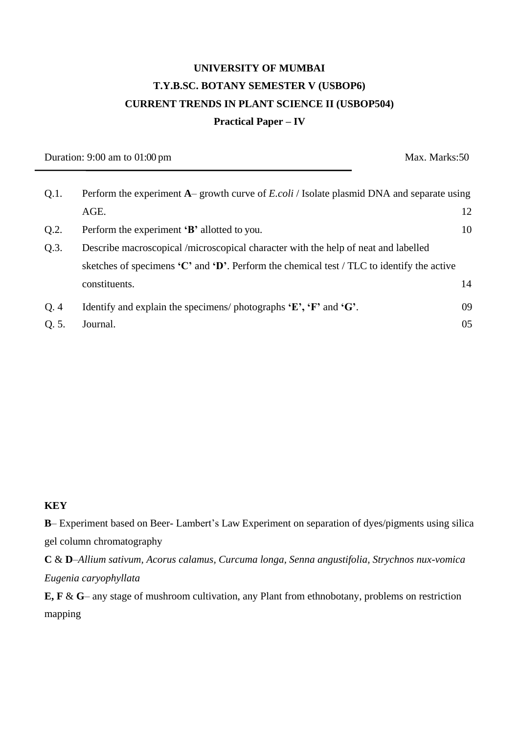# **UNIVERSITY OF MUMBAI T.Y.B.SC. BOTANY SEMESTER V (USBOP6) CURRENT TRENDS IN PLANT SCIENCE II (USBOP504) Practical Paper – IV**

Duration: 9:00 am to 01:00 pm Max. Marks: 50

| $Q.1$ . | Perform the experiment A– growth curve of <i>E.coli</i> / Isolate plasmid DNA and separate using               |    |
|---------|----------------------------------------------------------------------------------------------------------------|----|
|         | AGE.                                                                                                           | 12 |
| Q.2.    | Perform the experiment 'B' allotted to you.                                                                    | 10 |
| Q.3.    | Describe macroscopical /microscopical character with the help of neat and labelled                             |    |
|         | sketches of specimens $\mathbf{C}'$ and $\mathbf{D}'$ . Perform the chemical test / TLC to identify the active |    |
|         | constituents.                                                                                                  | 14 |
| Q.4     | Identify and explain the specimens/ photographs $E$ , $F$ and $G$ .                                            | 09 |
| Q. 5.   | Journal.                                                                                                       | 05 |

### **KEY**

**B**– Experiment based on Beer- Lambert's Law Experiment on separation of dyes/pigments using silica gel column chromatography

**C** & **D**–*Allium sativum, Acorus calamus, Curcuma longa, Senna angustifolia, Strychnos nux-vomica Eugenia caryophyllata*

**E, F** & **G**– any stage of mushroom cultivation, any Plant from ethnobotany, problems on restriction mapping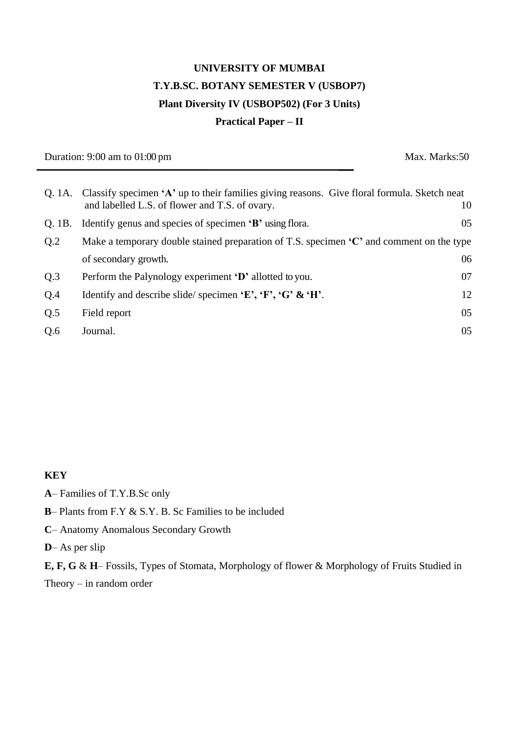# **UNIVERSITY OF MUMBAI T.Y.B.SC. BOTANY SEMESTER V (USBOP7) Plant Diversity IV (USBOP502) (For 3 Units) Practical Paper – II**

Duration: 9:00 am to 01:00 pm Max. Marks: 50

|        | Q. 1A. Classify specimen 'A' up to their families giving reasons. Give floral formula. Sketch neat<br>and labelled L.S. of flower and T.S. of ovary. | 10 |
|--------|------------------------------------------------------------------------------------------------------------------------------------------------------|----|
| O. 1B. | Identify genus and species of specimen 'B' using flora.                                                                                              | 05 |
| Q.2    | Make a temporary double stained preparation of T.S. specimen $\mathcal{C}^{\prime}$ and comment on the type                                          |    |
|        | of secondary growth.                                                                                                                                 | 06 |
| Q.3    | Perform the Palynology experiment 'D' allotted to you.                                                                                               | 07 |
| Q.4    | Identify and describe slide/specimen 'E', 'F', 'G' & 'H'.                                                                                            | 12 |
| Q.5    | Field report                                                                                                                                         | 05 |
| Q.6    | Journal.                                                                                                                                             | 05 |
|        |                                                                                                                                                      |    |

#### **KEY**

**A**– Families of T.Y.B.Sc only

- **B** Plants from F.Y & S.Y. B. Sc Families to be included
- **C** Anatomy Anomalous Secondary Growth
- **D** As per slip

**E, F, G** & **H**– Fossils, Types of Stomata, Morphology of flower & Morphology of Fruits Studied in Theory – in random order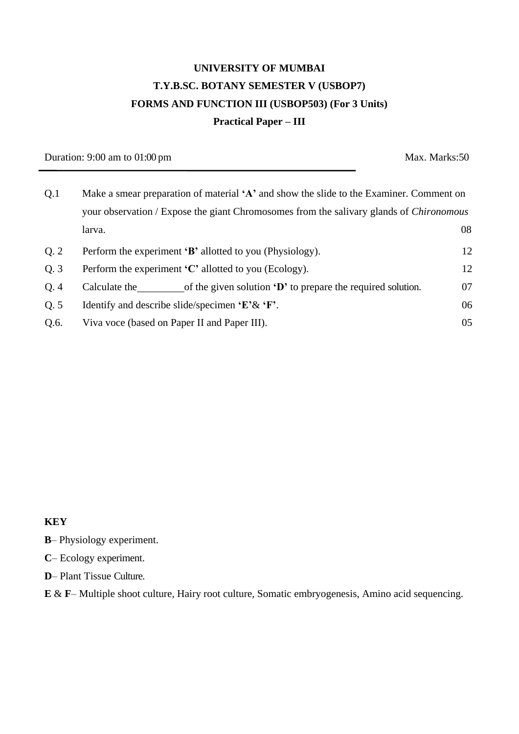# **UNIVERSITY OF MUMBAI T.Y.B.SC. BOTANY SEMESTER V (USBOP7) FORMS AND FUNCTION III (USBOP503) (For 3 Units) Practical Paper – III**

Duration: 9:00 am to 01:00 pm Max. Marks: 50

| Q.1<br>Make a smear preparation of material 'A' and show the slide to the Examiner. Comment on |                                                                                                |    |
|------------------------------------------------------------------------------------------------|------------------------------------------------------------------------------------------------|----|
|                                                                                                | your observation / Expose the giant Chromosomes from the salivary glands of <i>Chironomous</i> |    |
|                                                                                                | larva.                                                                                         | 08 |
| Q.2                                                                                            | Perform the experiment 'B' allotted to you (Physiology).                                       | 12 |
| Q.3                                                                                            | Perform the experiment $\mathcal{C}$ allotted to you (Ecology).                                | 12 |
| Q.4                                                                                            | of the given solution 'D' to prepare the required solution.<br>Calculate the                   | 07 |
| Q.5                                                                                            | Identify and describe slide/specimen $E^{\prime} \& F^{\prime}$ .                              | 06 |
| Q.6.                                                                                           | Viva voce (based on Paper II and Paper III).                                                   | 05 |

#### **KEY**

- **B** Physiology experiment.
- **C** Ecology experiment.
- **D** Plant Tissue Culture.
- **E** & **F** Multiple shoot culture, Hairy root culture, Somatic embryogenesis, Amino acid sequencing.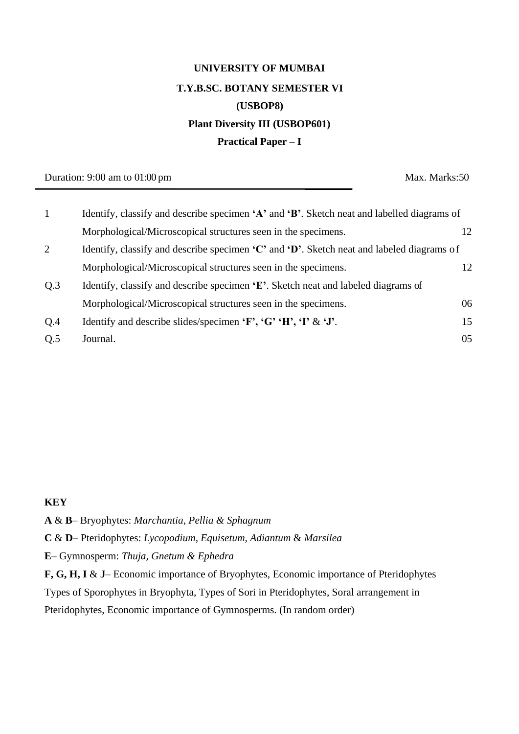# **UNIVERSITY OF MUMBAI T.Y.B.SC. BOTANY SEMESTER VI (USBOP8) Plant Diversity III (USBOP601) Practical Paper – I**

Duration: 9:00 am to 01:00 pm Max. Marks: 50

| $\mathbf{1}$   | Identify, classify and describe specimen $A'$ and $B'$ . Sketch neat and labelled diagrams of                                  |    |
|----------------|--------------------------------------------------------------------------------------------------------------------------------|----|
|                | Morphological/Microscopical structures seen in the specimens.                                                                  | 12 |
| 2              | Identify, classify and describe specimen $\mathbf{C}^{\prime}$ and $\mathbf{D}^{\prime}$ . Sketch neat and labeled diagrams of |    |
|                | Morphological/Microscopical structures seen in the specimens.                                                                  | 12 |
| Q <sub>3</sub> | Identify, classify and describe specimen 'E'. Sketch neat and labeled diagrams of                                              |    |
|                | Morphological/Microscopical structures seen in the specimens.                                                                  | 06 |
| Q.4            | Identify and describe slides/specimen 'F', 'G' 'H', 'I' & 'J'.                                                                 | 15 |
| Q.5            | Journal.                                                                                                                       | 05 |

### **KEY**

**A** & **B**– Bryophytes: *Marchantia, Pellia & Sphagnum*

**C** & **D**– Pteridophytes: *Lycopodium, Equisetum, Adiantum* & *Marsilea*

**E**– Gymnosperm: *Thuja, Gnetum & Ephedra*

**F, G, H, I** & **J**– Economic importance of Bryophytes, Economic importance of Pteridophytes Types of Sporophytes in Bryophyta, Types of Sori in Pteridophytes, Soral arrangement in Pteridophytes, Economic importance of Gymnosperms. (In random order)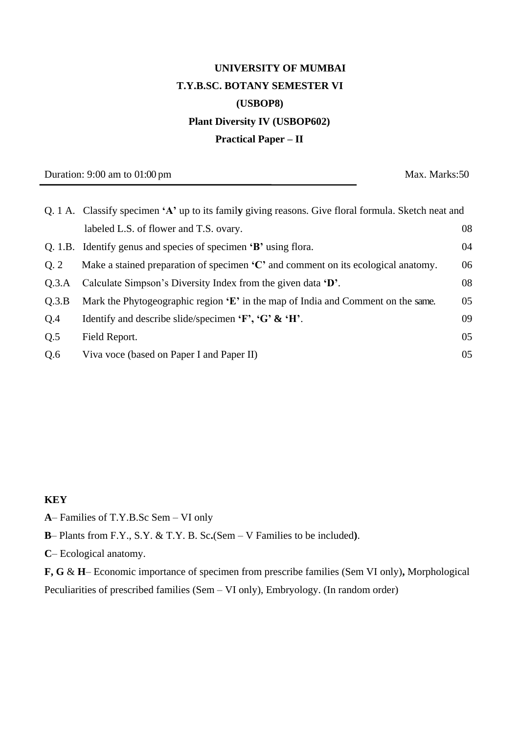# **UNIVERSITY OF MUMBAI T.Y.B.SC. BOTANY SEMESTER VI (USBOP8) Plant Diversity IV (USBOP602) Practical Paper – II**

Duration: 9:00 am to 01:00 pm Max. Marks: 50

|       | Q. 1 A. Classify specimen 'A' up to its family giving reasons. Give floral formula. Sketch neat and |    |
|-------|-----------------------------------------------------------------------------------------------------|----|
|       | labeled L.S. of flower and T.S. ovary.                                                              | 08 |
|       | Q. 1.B. Identify genus and species of specimen 'B' using flora.                                     | 04 |
| Q.2   | Make a stained preparation of specimen $C'$ and comment on its ecological anatomy.                  | 06 |
| Q.3.A | Calculate Simpson's Diversity Index from the given data 'D'.                                        | 08 |
| Q.3.B | Mark the Phytogeographic region $E'$ in the map of India and Comment on the same.                   | 05 |
| Q.4   | Identify and describe slide/specimen $\mathbf{F}$ , $\mathbf{G} \mathbf{X} \mathbf{H}'$ .           | 09 |
| Q.5   | Field Report.                                                                                       | 05 |
| Q.6   | Viva voce (based on Paper I and Paper II)                                                           | 05 |

#### **KEY**

- **A** Families of T.Y.B.Sc Sem VI only
- **B** Plants from F.Y., S.Y. & T.Y. B. Sc**.**(Sem V Families to be included**)**.
- **C** Ecological anatomy.

**F, G** & **H**– Economic importance of specimen from prescribe families (Sem VI only)**,** Morphological Peculiarities of prescribed families (Sem – VI only), Embryology. (In random order)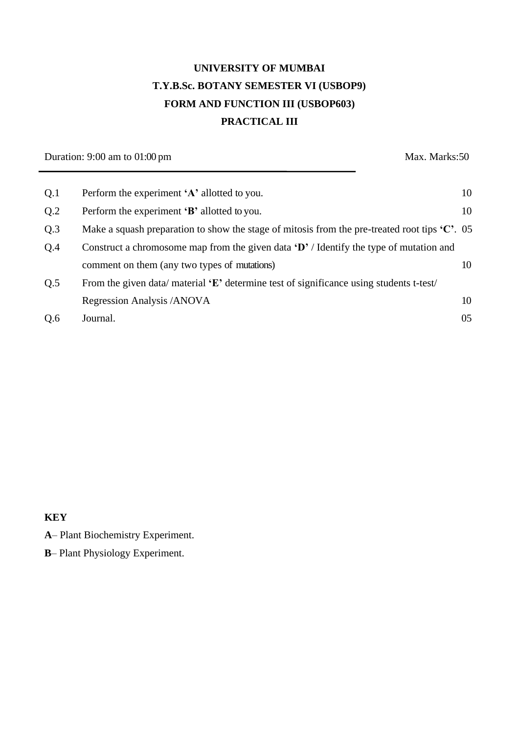# **UNIVERSITY OF MUMBAI T.Y.B.Sc. BOTANY SEMESTER VI (USBOP9) FORM AND FUNCTION III (USBOP603) PRACTICAL III**

Duration: 9:00 am to 01:00 pm Max. Marks: 50

| Q.1 | Perform the experiment 'A' allotted to you.                                                                  | 10 |
|-----|--------------------------------------------------------------------------------------------------------------|----|
| Q.2 | Perform the experiment 'B' allotted to you.                                                                  | 10 |
| Q.3 | Make a squash preparation to show the stage of mitosis from the pre-treated root tips $\mathcal{C}'$ . 05    |    |
| Q.4 | Construct a chromosome map from the given data $\{D' / \text{Identity} \text{ the type of mutation and } \}$ |    |
|     | comment on them (any two types of mutations)                                                                 | 10 |
| Q.5 | From the given data/material $E'$ determine test of significance using students t-test/                      |    |
|     | Regression Analysis /ANOVA                                                                                   | 10 |
| Q.6 | Journal.                                                                                                     | 05 |

### **KEY**

- **A** Plant Biochemistry Experiment.
- **B** Plant Physiology Experiment.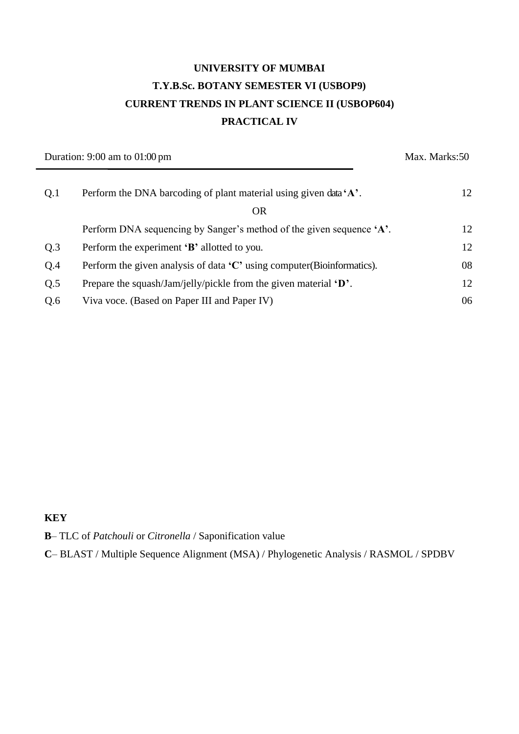# **UNIVERSITY OF MUMBAI T.Y.B.Sc. BOTANY SEMESTER VI (USBOP9) CURRENT TRENDS IN PLANT SCIENCE II (USBOP604) PRACTICAL IV**

| Duration: $9:00$ am to $01:00$ pm |                                                                                     | Max. Marks: 50 |  |
|-----------------------------------|-------------------------------------------------------------------------------------|----------------|--|
| Q.1                               | Perform the DNA barcoding of plant material using given data 'A'.                   | 12             |  |
|                                   | <b>OR</b>                                                                           |                |  |
|                                   | Perform DNA sequencing by Sanger's method of the given sequence 'A'.                | 12             |  |
| Q.3                               | Perform the experiment 'B' allotted to you.                                         | 12             |  |
| Q.4                               | Perform the given analysis of data $\mathcal{C}^*$ using computer (Bioinformatics). | 08             |  |
| Q.5                               | Prepare the squash/Jam/jelly/pickle from the given material $\mathbf{D}$ .          | 12             |  |
| Q.6                               | Viva voce. (Based on Paper III and Paper IV)                                        | 06             |  |

### **KEY**

**B**– TLC of *Patchouli* or *Citronella* / Saponification value

**C**– BLAST / Multiple Sequence Alignment (MSA) / Phylogenetic Analysis / RASMOL / SPDBV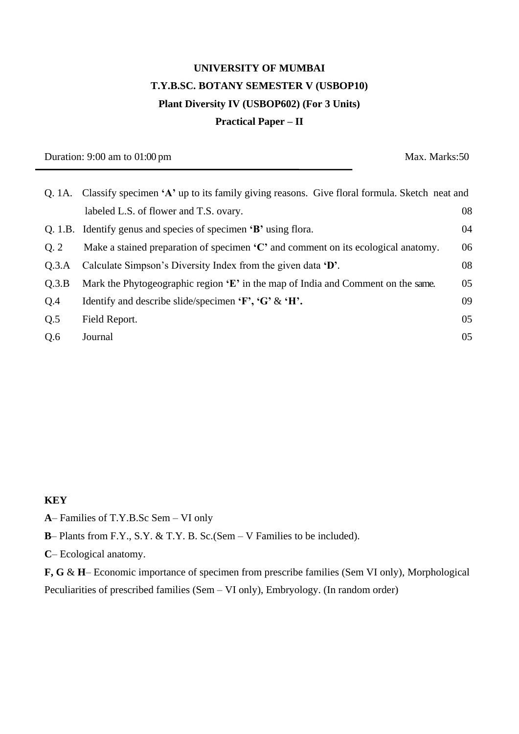# **UNIVERSITY OF MUMBAI T.Y.B.SC. BOTANY SEMESTER V (USBOP10) Plant Diversity IV (USBOP602) (For 3 Units) Practical Paper – II**

Duration: 9:00 am to 01:00 pm Max. Marks: 50

|                | Q. 1A. Classify specimen 'A' up to its family giving reasons. Give floral formula. Sketch neat and |    |
|----------------|----------------------------------------------------------------------------------------------------|----|
|                | labeled L.S. of flower and T.S. ovary.                                                             | 08 |
|                | Q. 1.B. Identify genus and species of specimen 'B' using flora.                                    | 04 |
| Q <sub>2</sub> | Make a stained preparation of specimen $\mathcal{C}'$ and comment on its ecological anatomy.       | 06 |
| Q.3.A          | Calculate Simpson's Diversity Index from the given data 'D'.                                       | 08 |
| Q.3.B          | Mark the Phytogeographic region $E'$ in the map of India and Comment on the same.                  | 05 |
| Q.4            | Identify and describe slide/specimen $\mathbf{F}$ , $\mathbf{G} \mathbf{K} \mathbf{H}$ .           | 09 |
| Q.5            | Field Report.                                                                                      | 05 |
| Q.6            | Journal                                                                                            | 05 |

#### **KEY**

- **A** Families of T.Y.B.Sc Sem VI only
- **B** Plants from F.Y., S.Y. & T.Y. B. Sc.(Sem V Families to be included).
- **C** Ecological anatomy.

**F, G** & **H**– Economic importance of specimen from prescribe families (Sem VI only), Morphological Peculiarities of prescribed families (Sem – VI only), Embryology. (In random order)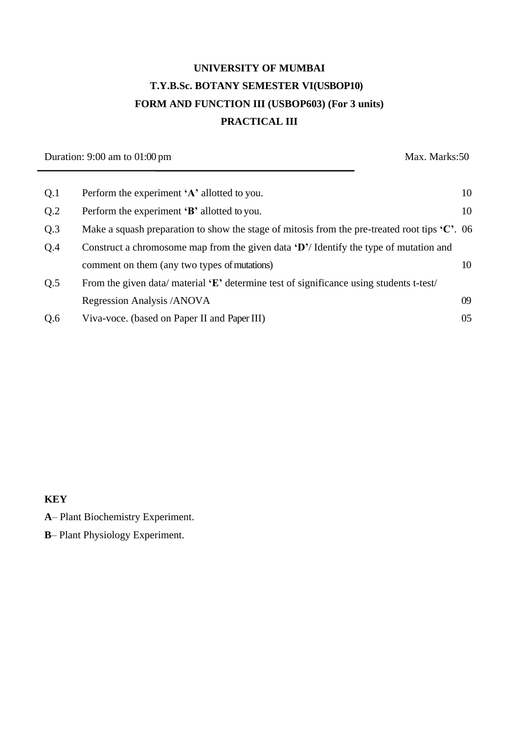# **UNIVERSITY OF MUMBAI T.Y.B.Sc. BOTANY SEMESTER VI(USBOP10) FORM AND FUNCTION III (USBOP603) (For 3 units) PRACTICAL III**

Duration: 9:00 am to 01:00 pm Max. Marks: 50

| Q.1 | Perform the experiment 'A' allotted to you.                                                               | 10 |
|-----|-----------------------------------------------------------------------------------------------------------|----|
| Q.2 | Perform the experiment 'B' allotted to you.                                                               | 10 |
| Q.3 | Make a squash preparation to show the stage of mitosis from the pre-treated root tips $\mathcal{C}'$ . 06 |    |
| Q.4 | Construct a chromosome map from the given data $\mathbf{D}'$ Identify the type of mutation and            |    |
|     | comment on them (any two types of mutations)                                                              | 10 |
| Q.5 | From the given data/material $E'$ determine test of significance using students t-test/                   |    |
|     | Regression Analysis /ANOVA                                                                                | 09 |
| Q.6 | Viva-voce. (based on Paper II and Paper III)                                                              | 05 |

### **KEY**

- **A** Plant Biochemistry Experiment.
- **B** Plant Physiology Experiment.